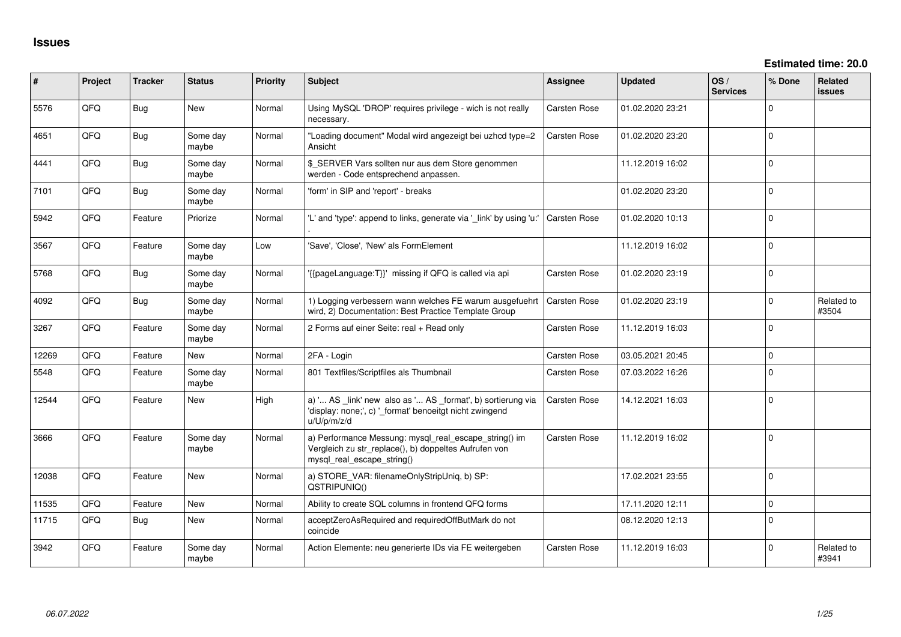| $\sharp$ | Project | <b>Tracker</b> | <b>Status</b>     | <b>Priority</b> | <b>Subject</b>                                                                                                                               | Assignee            | <b>Updated</b>   | OS/<br><b>Services</b> | % Done       | Related<br>issues   |
|----------|---------|----------------|-------------------|-----------------|----------------------------------------------------------------------------------------------------------------------------------------------|---------------------|------------------|------------------------|--------------|---------------------|
| 5576     | QFQ     | <b>Bug</b>     | New               | Normal          | Using MySQL 'DROP' requires privilege - wich is not really<br>necessary.                                                                     | Carsten Rose        | 01.02.2020 23:21 |                        | $\mathbf 0$  |                     |
| 4651     | QFQ     | Bug            | Some day<br>maybe | Normal          | "Loading document" Modal wird angezeigt bei uzhcd type=2<br>Ansicht                                                                          | Carsten Rose        | 01.02.2020 23:20 |                        | $\mathbf 0$  |                     |
| 4441     | QFQ     | Bug            | Some day<br>maybe | Normal          | \$ SERVER Vars sollten nur aus dem Store genommen<br>werden - Code entsprechend anpassen.                                                    |                     | 11.12.2019 16:02 |                        | $\mathbf{0}$ |                     |
| 7101     | QFQ     | <b>Bug</b>     | Some day<br>maybe | Normal          | 'form' in SIP and 'report' - breaks                                                                                                          |                     | 01.02.2020 23:20 |                        | $\mathbf 0$  |                     |
| 5942     | QFQ     | Feature        | Priorize          | Normal          | 'L' and 'type': append to links, generate via '_link' by using 'u:'                                                                          | <b>Carsten Rose</b> | 01.02.2020 10:13 |                        | $\Omega$     |                     |
| 3567     | QFQ     | Feature        | Some day<br>maybe | Low             | 'Save', 'Close', 'New' als FormElement                                                                                                       |                     | 11.12.2019 16:02 |                        | $\Omega$     |                     |
| 5768     | QFQ     | Bug            | Some day<br>maybe | Normal          | '{{pageLanguage:T}}' missing if QFQ is called via api                                                                                        | <b>Carsten Rose</b> | 01.02.2020 23:19 |                        | $\Omega$     |                     |
| 4092     | QFQ     | Bug            | Some day<br>maybe | Normal          | 1) Logging verbessern wann welches FE warum ausgefuehrt<br>wird, 2) Documentation: Best Practice Template Group                              | <b>Carsten Rose</b> | 01.02.2020 23:19 |                        | $\Omega$     | Related to<br>#3504 |
| 3267     | QFQ     | Feature        | Some day<br>maybe | Normal          | 2 Forms auf einer Seite: real + Read only                                                                                                    | Carsten Rose        | 11.12.2019 16:03 |                        | $\Omega$     |                     |
| 12269    | QFQ     | Feature        | New               | Normal          | 2FA - Login                                                                                                                                  | Carsten Rose        | 03.05.2021 20:45 |                        | $\mathbf{0}$ |                     |
| 5548     | QFQ     | Feature        | Some day<br>maybe | Normal          | 801 Textfiles/Scriptfiles als Thumbnail                                                                                                      | Carsten Rose        | 07.03.2022 16:26 |                        | $\mathbf 0$  |                     |
| 12544    | QFQ     | Feature        | <b>New</b>        | High            | a) ' AS _link' new also as ' AS _format', b) sortierung via<br>'display: none;', c) '_format' benoeitgt nicht zwingend<br>u/U/p/m/z/d        | Carsten Rose        | 14.12.2021 16:03 |                        | $\mathbf 0$  |                     |
| 3666     | QFQ     | Feature        | Some day<br>maybe | Normal          | a) Performance Messung: mysql_real_escape_string() im<br>Vergleich zu str_replace(), b) doppeltes Aufrufen von<br>mysql real escape string() | Carsten Rose        | 11.12.2019 16:02 |                        | $\Omega$     |                     |
| 12038    | QFQ     | Feature        | <b>New</b>        | Normal          | a) STORE_VAR: filenameOnlyStripUniq, b) SP:<br>QSTRIPUNIQ()                                                                                  |                     | 17.02.2021 23:55 |                        | $\Omega$     |                     |
| 11535    | QFQ     | Feature        | New               | Normal          | Ability to create SQL columns in frontend QFQ forms                                                                                          |                     | 17.11.2020 12:11 |                        | $\mathbf 0$  |                     |
| 11715    | QFQ     | Bug            | <b>New</b>        | Normal          | acceptZeroAsRequired and requiredOffButMark do not<br>coincide                                                                               |                     | 08.12.2020 12:13 |                        | $\mathbf 0$  |                     |
| 3942     | QFQ     | Feature        | Some day<br>maybe | Normal          | Action Elemente: neu generierte IDs via FE weitergeben                                                                                       | <b>Carsten Rose</b> | 11.12.2019 16:03 |                        | $\Omega$     | Related to<br>#3941 |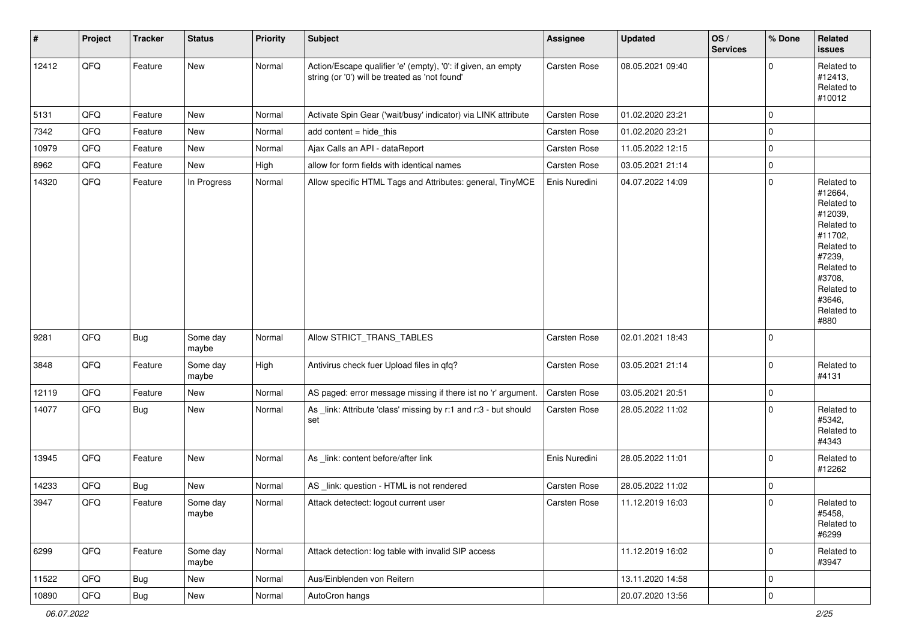| $\vert$ # | Project        | <b>Tracker</b> | <b>Status</b>     | <b>Priority</b> | <b>Subject</b>                                                                                                 | Assignee            | <b>Updated</b>   | OS/<br><b>Services</b> | % Done      | Related<br><b>issues</b>                                                                                                                                              |
|-----------|----------------|----------------|-------------------|-----------------|----------------------------------------------------------------------------------------------------------------|---------------------|------------------|------------------------|-------------|-----------------------------------------------------------------------------------------------------------------------------------------------------------------------|
| 12412     | QFQ            | Feature        | <b>New</b>        | Normal          | Action/Escape qualifier 'e' (empty), '0': if given, an empty<br>string (or '0') will be treated as 'not found' | Carsten Rose        | 08.05.2021 09:40 |                        | $\Omega$    | Related to<br>#12413,<br>Related to<br>#10012                                                                                                                         |
| 5131      | QFQ            | Feature        | <b>New</b>        | Normal          | Activate Spin Gear ('wait/busy' indicator) via LINK attribute                                                  | Carsten Rose        | 01.02.2020 23:21 |                        | $\mathbf 0$ |                                                                                                                                                                       |
| 7342      | QFQ            | Feature        | New               | Normal          | add content = hide_this                                                                                        | Carsten Rose        | 01.02.2020 23:21 |                        | $\mathbf 0$ |                                                                                                                                                                       |
| 10979     | QFQ            | Feature        | <b>New</b>        | Normal          | Ajax Calls an API - dataReport                                                                                 | Carsten Rose        | 11.05.2022 12:15 |                        | $\mathbf 0$ |                                                                                                                                                                       |
| 8962      | QFQ            | Feature        | New               | High            | allow for form fields with identical names                                                                     | <b>Carsten Rose</b> | 03.05.2021 21:14 |                        | 0           |                                                                                                                                                                       |
| 14320     | QFQ            | Feature        | In Progress       | Normal          | Allow specific HTML Tags and Attributes: general, TinyMCE                                                      | Enis Nuredini       | 04.07.2022 14:09 |                        | $\mathbf 0$ | Related to<br>#12664,<br>Related to<br>#12039,<br>Related to<br>#11702,<br>Related to<br>#7239,<br>Related to<br>#3708,<br>Related to<br>#3646,<br>Related to<br>#880 |
| 9281      | QFQ            | <b>Bug</b>     | Some day<br>maybe | Normal          | Allow STRICT TRANS TABLES                                                                                      | Carsten Rose        | 02.01.2021 18:43 |                        | $\Omega$    |                                                                                                                                                                       |
| 3848      | QFQ            | Feature        | Some day<br>maybe | High            | Antivirus check fuer Upload files in qfq?                                                                      | Carsten Rose        | 03.05.2021 21:14 |                        | $\mathbf 0$ | Related to<br>#4131                                                                                                                                                   |
| 12119     | QFQ            | Feature        | New               | Normal          | AS paged: error message missing if there ist no 'r' argument.                                                  | Carsten Rose        | 03.05.2021 20:51 |                        | $\mathbf 0$ |                                                                                                                                                                       |
| 14077     | QFQ            | Bug            | New               | Normal          | As _link: Attribute 'class' missing by r:1 and r:3 - but should<br>set                                         | Carsten Rose        | 28.05.2022 11:02 |                        | $\Omega$    | Related to<br>#5342,<br>Related to<br>#4343                                                                                                                           |
| 13945     | QFQ            | Feature        | New               | Normal          | As _link: content before/after link                                                                            | Enis Nuredini       | 28.05.2022 11:01 |                        | $\mathbf 0$ | Related to<br>#12262                                                                                                                                                  |
| 14233     | QFQ            | <b>Bug</b>     | <b>New</b>        | Normal          | AS _link: question - HTML is not rendered                                                                      | Carsten Rose        | 28.05.2022 11:02 |                        | $\mathbf 0$ |                                                                                                                                                                       |
| 3947      | QFQ            | Feature        | Some day<br>maybe | Normal          | Attack detectect: logout current user                                                                          | <b>Carsten Rose</b> | 11.12.2019 16:03 |                        | $\mathbf 0$ | Related to<br>#5458,<br>Related to<br>#6299                                                                                                                           |
| 6299      | QFQ            | Feature        | Some day<br>maybe | Normal          | Attack detection: log table with invalid SIP access                                                            |                     | 11.12.2019 16:02 |                        | $\mathbf 0$ | Related to<br>#3947                                                                                                                                                   |
| 11522     | QFQ            | <b>Bug</b>     | New               | Normal          | Aus/Einblenden von Reitern                                                                                     |                     | 13.11.2020 14:58 |                        | $\mathbf 0$ |                                                                                                                                                                       |
| 10890     | $\mathsf{QFQ}$ | Bug            | New               | Normal          | AutoCron hangs                                                                                                 |                     | 20.07.2020 13:56 |                        | $\pmb{0}$   |                                                                                                                                                                       |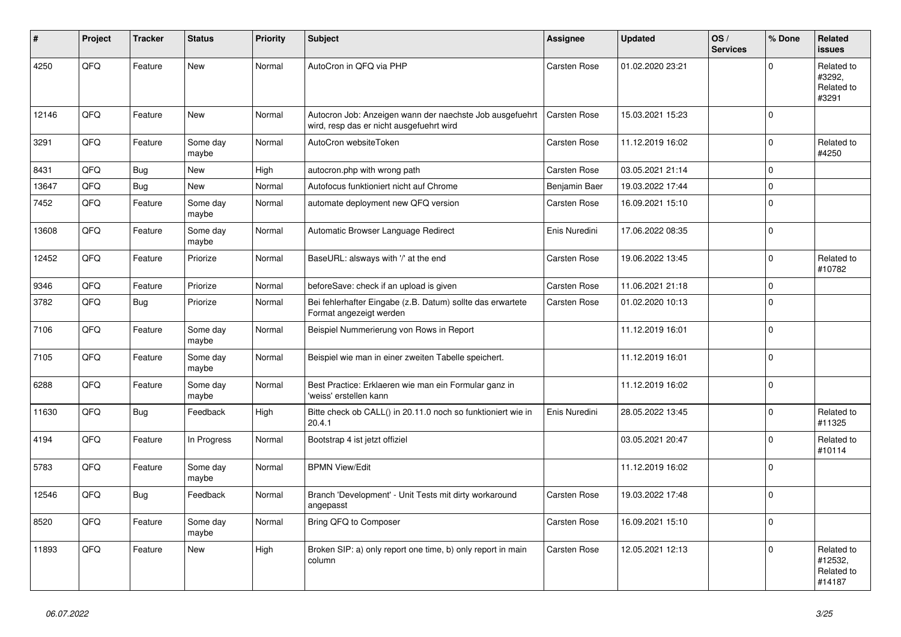| ∦     | Project | <b>Tracker</b> | <b>Status</b>     | <b>Priority</b> | Subject                                                                                              | <b>Assignee</b>     | <b>Updated</b>   | OS/<br><b>Services</b> | % Done       | Related<br><b>issues</b>                      |
|-------|---------|----------------|-------------------|-----------------|------------------------------------------------------------------------------------------------------|---------------------|------------------|------------------------|--------------|-----------------------------------------------|
| 4250  | QFQ     | Feature        | New               | Normal          | AutoCron in QFQ via PHP                                                                              | <b>Carsten Rose</b> | 01.02.2020 23:21 |                        | <sup>0</sup> | Related to<br>#3292,<br>Related to<br>#3291   |
| 12146 | QFQ     | Feature        | New               | Normal          | Autocron Job: Anzeigen wann der naechste Job ausgefuehrt<br>wird, resp das er nicht ausgefuehrt wird | <b>Carsten Rose</b> | 15.03.2021 15:23 |                        | <sup>0</sup> |                                               |
| 3291  | QFQ     | Feature        | Some day<br>maybe | Normal          | AutoCron websiteToken                                                                                | <b>Carsten Rose</b> | 11.12.2019 16:02 |                        | $\Omega$     | Related to<br>#4250                           |
| 8431  | QFQ     | Bug            | <b>New</b>        | High            | autocron.php with wrong path                                                                         | <b>Carsten Rose</b> | 03.05.2021 21:14 |                        | $\Omega$     |                                               |
| 13647 | QFQ     | <b>Bug</b>     | New               | Normal          | Autofocus funktioniert nicht auf Chrome                                                              | Benjamin Baer       | 19.03.2022 17:44 |                        | $\mathbf 0$  |                                               |
| 7452  | QFQ     | Feature        | Some day<br>maybe | Normal          | automate deployment new QFQ version                                                                  | Carsten Rose        | 16.09.2021 15:10 |                        | 0            |                                               |
| 13608 | QFQ     | Feature        | Some day<br>maybe | Normal          | Automatic Browser Language Redirect                                                                  | Enis Nuredini       | 17.06.2022 08:35 |                        | $\Omega$     |                                               |
| 12452 | QFQ     | Feature        | Priorize          | Normal          | BaseURL: alsways with '/' at the end                                                                 | Carsten Rose        | 19.06.2022 13:45 |                        | 0            | Related to<br>#10782                          |
| 9346  | QFQ     | Feature        | Priorize          | Normal          | beforeSave: check if an upload is given                                                              | Carsten Rose        | 11.06.2021 21:18 |                        | $\mathbf 0$  |                                               |
| 3782  | QFQ     | Bug            | Priorize          | Normal          | Bei fehlerhafter Eingabe (z.B. Datum) sollte das erwartete<br>Format angezeigt werden                | <b>Carsten Rose</b> | 01.02.2020 10:13 |                        | $\Omega$     |                                               |
| 7106  | QFQ     | Feature        | Some day<br>maybe | Normal          | Beispiel Nummerierung von Rows in Report                                                             |                     | 11.12.2019 16:01 |                        | $\Omega$     |                                               |
| 7105  | QFQ     | Feature        | Some day<br>maybe | Normal          | Beispiel wie man in einer zweiten Tabelle speichert.                                                 |                     | 11.12.2019 16:01 |                        | $\Omega$     |                                               |
| 6288  | QFQ     | Feature        | Some day<br>maybe | Normal          | Best Practice: Erklaeren wie man ein Formular ganz in<br>'weiss' erstellen kann                      |                     | 11.12.2019 16:02 |                        | $\mathbf 0$  |                                               |
| 11630 | QFQ     | Bug            | Feedback          | High            | Bitte check ob CALL() in 20.11.0 noch so funktioniert wie in<br>20.4.1                               | Enis Nuredini       | 28.05.2022 13:45 |                        | 0            | Related to<br>#11325                          |
| 4194  | QFQ     | Feature        | In Progress       | Normal          | Bootstrap 4 ist jetzt offiziel                                                                       |                     | 03.05.2021 20:47 |                        | 0            | Related to<br>#10114                          |
| 5783  | QFQ     | Feature        | Some day<br>maybe | Normal          | <b>BPMN View/Edit</b>                                                                                |                     | 11.12.2019 16:02 |                        | 0            |                                               |
| 12546 | QFQ     | <b>Bug</b>     | Feedback          | Normal          | Branch 'Development' - Unit Tests mit dirty workaround<br>angepasst                                  | <b>Carsten Rose</b> | 19.03.2022 17:48 |                        | $\Omega$     |                                               |
| 8520  | QFQ     | Feature        | Some day<br>maybe | Normal          | Bring QFQ to Composer                                                                                | Carsten Rose        | 16.09.2021 15:10 |                        | $\mathbf 0$  |                                               |
| 11893 | QFO     | Feature        | New               | High            | Broken SIP: a) only report one time, b) only report in main<br>column                                | Carsten Rose        | 12.05.2021 12:13 |                        | 0            | Related to<br>#12532,<br>Related to<br>#14187 |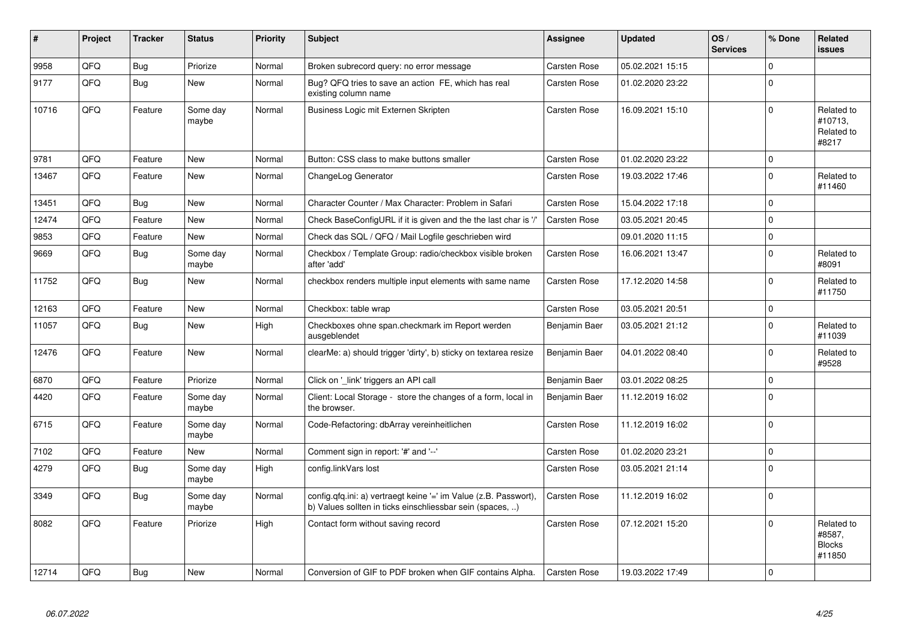| #     | Project | <b>Tracker</b> | <b>Status</b>     | <b>Priority</b> | <b>Subject</b>                                                                                                                | <b>Assignee</b>     | <b>Updated</b>   | OS/<br><b>Services</b> | % Done       | Related<br>issues                               |
|-------|---------|----------------|-------------------|-----------------|-------------------------------------------------------------------------------------------------------------------------------|---------------------|------------------|------------------------|--------------|-------------------------------------------------|
| 9958  | QFQ     | <b>Bug</b>     | Priorize          | Normal          | Broken subrecord query: no error message                                                                                      | <b>Carsten Rose</b> | 05.02.2021 15:15 |                        | $\Omega$     |                                                 |
| 9177  | QFQ     | Bug            | <b>New</b>        | Normal          | Bug? QFQ tries to save an action FE, which has real<br>existing column name                                                   | <b>Carsten Rose</b> | 01.02.2020 23:22 |                        | $\Omega$     |                                                 |
| 10716 | QFQ     | Feature        | Some day<br>maybe | Normal          | Business Logic mit Externen Skripten                                                                                          | <b>Carsten Rose</b> | 16.09.2021 15:10 |                        | $\Omega$     | Related to<br>#10713,<br>Related to<br>#8217    |
| 9781  | QFQ     | Feature        | New               | Normal          | Button: CSS class to make buttons smaller                                                                                     | <b>Carsten Rose</b> | 01.02.2020 23:22 |                        | $\Omega$     |                                                 |
| 13467 | QFQ     | Feature        | New               | Normal          | ChangeLog Generator                                                                                                           | <b>Carsten Rose</b> | 19.03.2022 17:46 |                        | $\Omega$     | Related to<br>#11460                            |
| 13451 | QFQ     | Bug            | <b>New</b>        | Normal          | Character Counter / Max Character: Problem in Safari                                                                          | <b>Carsten Rose</b> | 15.04.2022 17:18 |                        | $\mathbf 0$  |                                                 |
| 12474 | QFQ     | Feature        | <b>New</b>        | Normal          | Check BaseConfigURL if it is given and the the last char is '/'                                                               | <b>Carsten Rose</b> | 03.05.2021 20:45 |                        | $\Omega$     |                                                 |
| 9853  | QFQ     | Feature        | <b>New</b>        | Normal          | Check das SQL / QFQ / Mail Logfile geschrieben wird                                                                           |                     | 09.01.2020 11:15 |                        | $\Omega$     |                                                 |
| 9669  | QFQ     | <b>Bug</b>     | Some day<br>maybe | Normal          | Checkbox / Template Group: radio/checkbox visible broken<br>after 'add'                                                       | Carsten Rose        | 16.06.2021 13:47 |                        | $\Omega$     | Related to<br>#8091                             |
| 11752 | QFQ     | <b>Bug</b>     | <b>New</b>        | Normal          | checkbox renders multiple input elements with same name                                                                       | <b>Carsten Rose</b> | 17.12.2020 14:58 |                        | $\Omega$     | Related to<br>#11750                            |
| 12163 | QFQ     | Feature        | <b>New</b>        | Normal          | Checkbox: table wrap                                                                                                          | <b>Carsten Rose</b> | 03.05.2021 20:51 |                        | $\Omega$     |                                                 |
| 11057 | QFQ     | Bug            | <b>New</b>        | High            | Checkboxes ohne span.checkmark im Report werden<br>ausgeblendet                                                               | Benjamin Baer       | 03.05.2021 21:12 |                        | $\Omega$     | Related to<br>#11039                            |
| 12476 | QFQ     | Feature        | <b>New</b>        | Normal          | clearMe: a) should trigger 'dirty', b) sticky on textarea resize                                                              | Benjamin Baer       | 04.01.2022 08:40 |                        | $\Omega$     | Related to<br>#9528                             |
| 6870  | QFQ     | Feature        | Priorize          | Normal          | Click on '_link' triggers an API call                                                                                         | Benjamin Baer       | 03.01.2022 08:25 |                        | $\mathbf 0$  |                                                 |
| 4420  | QFQ     | Feature        | Some day<br>maybe | Normal          | Client: Local Storage - store the changes of a form, local in<br>the browser.                                                 | Benjamin Baer       | 11.12.2019 16:02 |                        | $\Omega$     |                                                 |
| 6715  | QFQ     | Feature        | Some day<br>maybe | Normal          | Code-Refactoring: dbArray vereinheitlichen                                                                                    | <b>Carsten Rose</b> | 11.12.2019 16:02 |                        | $\mathbf{0}$ |                                                 |
| 7102  | QFQ     | Feature        | <b>New</b>        | Normal          | Comment sign in report: '#' and '--'                                                                                          | <b>Carsten Rose</b> | 01.02.2020 23:21 |                        | $\mathbf 0$  |                                                 |
| 4279  | QFQ     | Bug            | Some day<br>maybe | High            | config.linkVars lost                                                                                                          | <b>Carsten Rose</b> | 03.05.2021 21:14 |                        | $\Omega$     |                                                 |
| 3349  | QFQ     | Bug            | Some day<br>maybe | Normal          | config.qfq.ini: a) vertraegt keine '=' im Value (z.B. Passwort),<br>b) Values sollten in ticks einschliessbar sein (spaces, ) | <b>Carsten Rose</b> | 11.12.2019 16:02 |                        | $\Omega$     |                                                 |
| 8082  | QFQ     | Feature        | Priorize          | High            | Contact form without saving record                                                                                            | <b>Carsten Rose</b> | 07.12.2021 15:20 |                        | $\Omega$     | Related to<br>#8587.<br><b>Blocks</b><br>#11850 |
| 12714 | QFQ     | Bug            | <b>New</b>        | Normal          | Conversion of GIF to PDF broken when GIF contains Alpha.                                                                      | <b>Carsten Rose</b> | 19.03.2022 17:49 |                        | $\Omega$     |                                                 |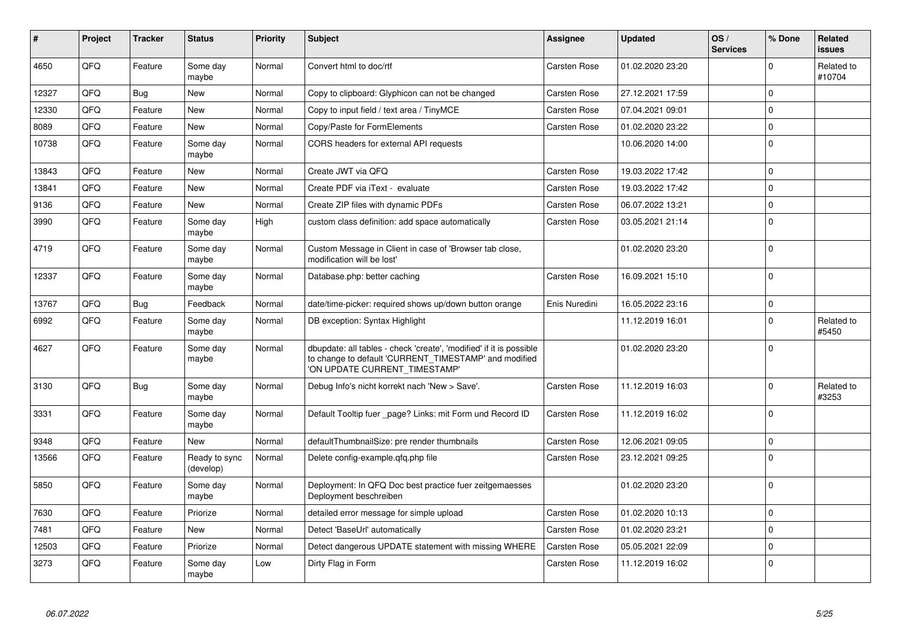| #     | <b>Project</b> | <b>Tracker</b> | <b>Status</b>              | <b>Priority</b> | <b>Subject</b>                                                                                                                                                | <b>Assignee</b>     | <b>Updated</b>   | OS/<br><b>Services</b> | % Done       | Related<br>issues    |
|-------|----------------|----------------|----------------------------|-----------------|---------------------------------------------------------------------------------------------------------------------------------------------------------------|---------------------|------------------|------------------------|--------------|----------------------|
| 4650  | QFQ            | Feature        | Some day<br>maybe          | Normal          | Convert html to doc/rtf                                                                                                                                       | Carsten Rose        | 01.02.2020 23:20 |                        | $\Omega$     | Related to<br>#10704 |
| 12327 | QFQ            | <b>Bug</b>     | <b>New</b>                 | Normal          | Copy to clipboard: Glyphicon can not be changed                                                                                                               | <b>Carsten Rose</b> | 27.12.2021 17:59 |                        | $\mathbf{0}$ |                      |
| 12330 | QFQ            | Feature        | New                        | Normal          | Copy to input field / text area / TinyMCE                                                                                                                     | Carsten Rose        | 07.04.2021 09:01 |                        | $\Omega$     |                      |
| 8089  | QFQ            | Feature        | New                        | Normal          | Copy/Paste for FormElements                                                                                                                                   | <b>Carsten Rose</b> | 01.02.2020 23:22 |                        | $\mathbf 0$  |                      |
| 10738 | QFQ            | Feature        | Some day<br>maybe          | Normal          | CORS headers for external API requests                                                                                                                        |                     | 10.06.2020 14:00 |                        | $\Omega$     |                      |
| 13843 | QFQ            | Feature        | New                        | Normal          | Create JWT via QFQ                                                                                                                                            | <b>Carsten Rose</b> | 19.03.2022 17:42 |                        | $\mathbf 0$  |                      |
| 13841 | QFQ            | Feature        | <b>New</b>                 | Normal          | Create PDF via iText - evaluate                                                                                                                               | <b>Carsten Rose</b> | 19.03.2022 17:42 |                        | $\Omega$     |                      |
| 9136  | QFQ            | Feature        | New                        | Normal          | Create ZIP files with dynamic PDFs                                                                                                                            | <b>Carsten Rose</b> | 06.07.2022 13:21 |                        | $\mathbf{0}$ |                      |
| 3990  | QFQ            | Feature        | Some day<br>maybe          | High            | custom class definition: add space automatically                                                                                                              | <b>Carsten Rose</b> | 03.05.2021 21:14 |                        | $\Omega$     |                      |
| 4719  | QFQ.           | Feature        | Some day<br>maybe          | Normal          | Custom Message in Client in case of 'Browser tab close,<br>modification will be lost'                                                                         |                     | 01.02.2020 23:20 |                        | $\Omega$     |                      |
| 12337 | QFQ            | Feature        | Some day<br>maybe          | Normal          | Database.php: better caching                                                                                                                                  | <b>Carsten Rose</b> | 16.09.2021 15:10 |                        | $\Omega$     |                      |
| 13767 | QFQ            | <b>Bug</b>     | Feedback                   | Normal          | date/time-picker: required shows up/down button orange                                                                                                        | Enis Nuredini       | 16.05.2022 23:16 |                        | $\mathbf{0}$ |                      |
| 6992  | QFQ            | Feature        | Some day<br>maybe          | Normal          | DB exception: Syntax Highlight                                                                                                                                |                     | 11.12.2019 16:01 |                        | $\mathbf 0$  | Related to<br>#5450  |
| 4627  | QFQ            | Feature        | Some day<br>maybe          | Normal          | dbupdate: all tables - check 'create', 'modified' if it is possible<br>to change to default 'CURRENT_TIMESTAMP' and modified<br>'ON UPDATE CURRENT_TIMESTAMP' |                     | 01.02.2020 23:20 |                        | $\Omega$     |                      |
| 3130  | QFQ            | <b>Bug</b>     | Some day<br>maybe          | Normal          | Debug Info's nicht korrekt nach 'New > Save'.                                                                                                                 | Carsten Rose        | 11.12.2019 16:03 |                        | $\Omega$     | Related to<br>#3253  |
| 3331  | QFQ            | Feature        | Some day<br>maybe          | Normal          | Default Tooltip fuer _page? Links: mit Form und Record ID                                                                                                     | <b>Carsten Rose</b> | 11.12.2019 16:02 |                        | $\mathbf 0$  |                      |
| 9348  | QFQ            | Feature        | <b>New</b>                 | Normal          | defaultThumbnailSize: pre render thumbnails                                                                                                                   | <b>Carsten Rose</b> | 12.06.2021 09:05 |                        | $\mathbf{0}$ |                      |
| 13566 | QFQ            | Feature        | Ready to sync<br>(develop) | Normal          | Delete config-example.qfq.php file                                                                                                                            | <b>Carsten Rose</b> | 23.12.2021 09:25 |                        | $\Omega$     |                      |
| 5850  | QFQ            | Feature        | Some day<br>maybe          | Normal          | Deployment: In QFQ Doc best practice fuer zeitgemaesses<br>Deployment beschreiben                                                                             |                     | 01.02.2020 23:20 |                        | $\Omega$     |                      |
| 7630  | QFQ            | Feature        | Priorize                   | Normal          | detailed error message for simple upload                                                                                                                      | <b>Carsten Rose</b> | 01.02.2020 10:13 |                        | $\Omega$     |                      |
| 7481  | QFQ            | Feature        | New                        | Normal          | Detect 'BaseUrl' automatically                                                                                                                                | <b>Carsten Rose</b> | 01.02.2020 23:21 |                        | $\mathbf 0$  |                      |
| 12503 | QFQ            | Feature        | Priorize                   | Normal          | Detect dangerous UPDATE statement with missing WHERE                                                                                                          | Carsten Rose        | 05.05.2021 22:09 |                        | $\Omega$     |                      |
| 3273  | QFQ            | Feature        | Some day<br>maybe          | Low             | Dirty Flag in Form                                                                                                                                            | <b>Carsten Rose</b> | 11.12.2019 16:02 |                        | $\mathbf 0$  |                      |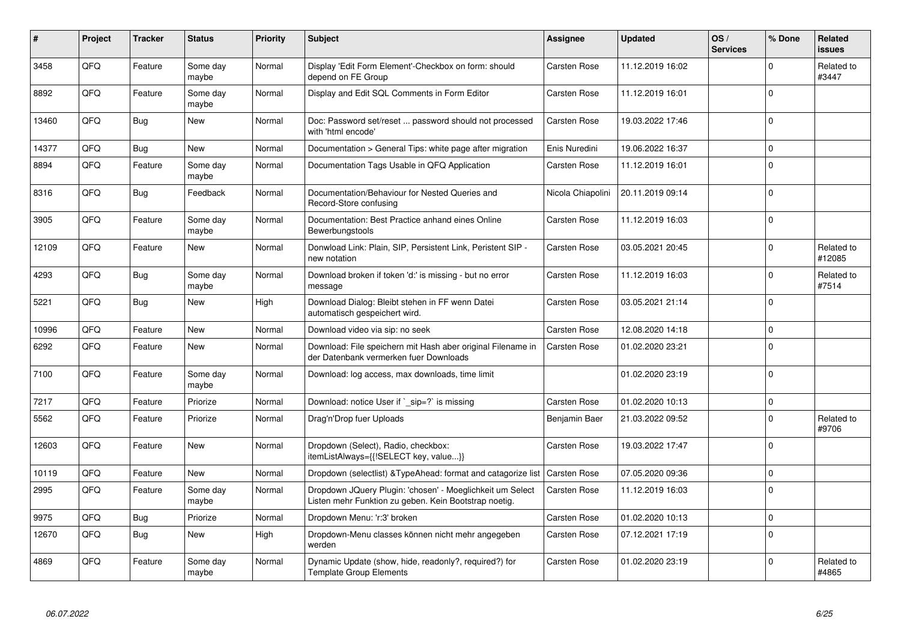| #     | Project | <b>Tracker</b> | <b>Status</b>     | <b>Priority</b> | <b>Subject</b>                                                                                                     | <b>Assignee</b>     | <b>Updated</b>   | OS/<br><b>Services</b> | % Done       | Related<br>issues    |
|-------|---------|----------------|-------------------|-----------------|--------------------------------------------------------------------------------------------------------------------|---------------------|------------------|------------------------|--------------|----------------------|
| 3458  | QFQ     | Feature        | Some day<br>maybe | Normal          | Display 'Edit Form Element'-Checkbox on form: should<br>depend on FE Group                                         | <b>Carsten Rose</b> | 11.12.2019 16:02 |                        | $\Omega$     | Related to<br>#3447  |
| 8892  | QFQ     | Feature        | Some day<br>maybe | Normal          | Display and Edit SQL Comments in Form Editor                                                                       | <b>Carsten Rose</b> | 11.12.2019 16:01 |                        | $\Omega$     |                      |
| 13460 | QFQ     | <b>Bug</b>     | New               | Normal          | Doc: Password set/reset  password should not processed<br>with 'html encode'                                       | <b>Carsten Rose</b> | 19.03.2022 17:46 |                        | $\Omega$     |                      |
| 14377 | QFQ     | Bug            | <b>New</b>        | Normal          | Documentation > General Tips: white page after migration                                                           | Enis Nuredini       | 19.06.2022 16:37 |                        | $\mathbf 0$  |                      |
| 8894  | QFQ     | Feature        | Some day<br>maybe | Normal          | Documentation Tags Usable in QFQ Application                                                                       | <b>Carsten Rose</b> | 11.12.2019 16:01 |                        | $\mathbf{0}$ |                      |
| 8316  | QFQ     | <b>Bug</b>     | Feedback          | Normal          | Documentation/Behaviour for Nested Queries and<br>Record-Store confusing                                           | Nicola Chiapolini   | 20.11.2019 09:14 |                        | $\Omega$     |                      |
| 3905  | QFQ     | Feature        | Some day<br>maybe | Normal          | Documentation: Best Practice anhand eines Online<br>Bewerbungstools                                                | <b>Carsten Rose</b> | 11.12.2019 16:03 |                        | $\Omega$     |                      |
| 12109 | QFQ     | Feature        | <b>New</b>        | Normal          | Donwload Link: Plain, SIP, Persistent Link, Peristent SIP -<br>new notation                                        | <b>Carsten Rose</b> | 03.05.2021 20:45 |                        | $\mathbf 0$  | Related to<br>#12085 |
| 4293  | QFQ     | Bug            | Some dav<br>maybe | Normal          | Download broken if token 'd:' is missing - but no error<br>message                                                 | <b>Carsten Rose</b> | 11.12.2019 16:03 |                        | $\mathbf 0$  | Related to<br>#7514  |
| 5221  | QFQ     | Bug            | New               | High            | Download Dialog: Bleibt stehen in FF wenn Datei<br>automatisch gespeichert wird.                                   | <b>Carsten Rose</b> | 03.05.2021 21:14 |                        | $\Omega$     |                      |
| 10996 | QFQ     | Feature        | New               | Normal          | Download video via sip: no seek                                                                                    | <b>Carsten Rose</b> | 12.08.2020 14:18 |                        | $\mathbf 0$  |                      |
| 6292  | QFQ     | Feature        | New               | Normal          | Download: File speichern mit Hash aber original Filename in<br>der Datenbank vermerken fuer Downloads              | <b>Carsten Rose</b> | 01.02.2020 23:21 |                        | $\Omega$     |                      |
| 7100  | QFQ     | Feature        | Some dav<br>maybe | Normal          | Download: log access, max downloads, time limit                                                                    |                     | 01.02.2020 23:19 |                        | $\Omega$     |                      |
| 7217  | QFQ     | Feature        | Priorize          | Normal          | Download: notice User if ` sip=?` is missing                                                                       | <b>Carsten Rose</b> | 01.02.2020 10:13 |                        | $\mathbf{0}$ |                      |
| 5562  | QFQ     | Feature        | Priorize          | Normal          | Drag'n'Drop fuer Uploads                                                                                           | Benjamin Baer       | 21.03.2022 09:52 |                        | $\Omega$     | Related to<br>#9706  |
| 12603 | QFQ     | Feature        | <b>New</b>        | Normal          | Dropdown (Select), Radio, checkbox:<br>itemListAlways={{!SELECT key, value}}                                       | Carsten Rose        | 19.03.2022 17:47 |                        | $\Omega$     |                      |
| 10119 | QFQ     | Feature        | <b>New</b>        | Normal          | Dropdown (selectlist) & Type Ahead: format and catagorize list                                                     | <b>Carsten Rose</b> | 07.05.2020 09:36 |                        | $\mathbf{0}$ |                      |
| 2995  | QFQ     | Feature        | Some day<br>maybe | Normal          | Dropdown JQuery Plugin: 'chosen' - Moeglichkeit um Select<br>Listen mehr Funktion zu geben. Kein Bootstrap noetig. | Carsten Rose        | 11.12.2019 16:03 |                        | $\Omega$     |                      |
| 9975  | QFQ     | <b>Bug</b>     | Priorize          | Normal          | Dropdown Menu: 'r:3' broken                                                                                        | <b>Carsten Rose</b> | 01.02.2020 10:13 |                        | $\mathbf{0}$ |                      |
| 12670 | QFQ     | Bug            | New               | High            | Dropdown-Menu classes können nicht mehr angegeben<br>werden                                                        | <b>Carsten Rose</b> | 07.12.2021 17:19 |                        | $\Omega$     |                      |
| 4869  | QFQ     | Feature        | Some day<br>maybe | Normal          | Dynamic Update (show, hide, readonly?, required?) for<br>Template Group Elements                                   | <b>Carsten Rose</b> | 01.02.2020 23:19 |                        | $\Omega$     | Related to<br>#4865  |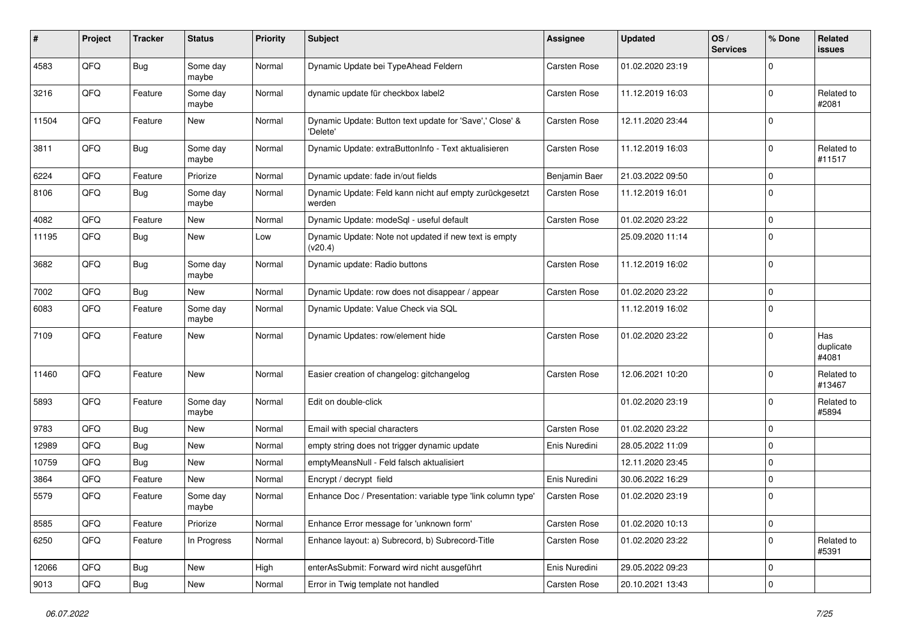| #     | Project | <b>Tracker</b> | <b>Status</b>     | <b>Priority</b> | <b>Subject</b>                                                       | <b>Assignee</b>     | <b>Updated</b>   | OS/<br><b>Services</b> | % Done      | Related<br>issues         |
|-------|---------|----------------|-------------------|-----------------|----------------------------------------------------------------------|---------------------|------------------|------------------------|-------------|---------------------------|
| 4583  | QFQ     | <b>Bug</b>     | Some day<br>maybe | Normal          | Dynamic Update bei TypeAhead Feldern                                 | Carsten Rose        | 01.02.2020 23:19 |                        | 0           |                           |
| 3216  | QFQ     | Feature        | Some day<br>maybe | Normal          | dynamic update für checkbox label2                                   | <b>Carsten Rose</b> | 11.12.2019 16:03 |                        | $\mathbf 0$ | Related to<br>#2081       |
| 11504 | QFQ     | Feature        | New               | Normal          | Dynamic Update: Button text update for 'Save',' Close' &<br>'Delete' | <b>Carsten Rose</b> | 12.11.2020 23:44 |                        | 0           |                           |
| 3811  | QFQ     | Bug            | Some day<br>maybe | Normal          | Dynamic Update: extraButtonInfo - Text aktualisieren                 | <b>Carsten Rose</b> | 11.12.2019 16:03 |                        | 0           | Related to<br>#11517      |
| 6224  | QFQ     | Feature        | Priorize          | Normal          | Dynamic update: fade in/out fields                                   | Benjamin Baer       | 21.03.2022 09:50 |                        | 0           |                           |
| 8106  | QFQ     | Bug            | Some day<br>maybe | Normal          | Dynamic Update: Feld kann nicht auf empty zurückgesetzt<br>werden    | Carsten Rose        | 11.12.2019 16:01 |                        | $\mathbf 0$ |                           |
| 4082  | QFQ     | Feature        | <b>New</b>        | Normal          | Dynamic Update: modeSql - useful default                             | Carsten Rose        | 01.02.2020 23:22 |                        | 0           |                           |
| 11195 | QFQ     | <b>Bug</b>     | New               | Low             | Dynamic Update: Note not updated if new text is empty<br>(v20.4)     |                     | 25.09.2020 11:14 |                        | $\mathbf 0$ |                           |
| 3682  | QFQ     | <b>Bug</b>     | Some day<br>maybe | Normal          | Dynamic update: Radio buttons                                        | <b>Carsten Rose</b> | 11.12.2019 16:02 |                        | $\mathbf 0$ |                           |
| 7002  | QFQ     | <b>Bug</b>     | <b>New</b>        | Normal          | Dynamic Update: row does not disappear / appear                      | <b>Carsten Rose</b> | 01.02.2020 23:22 |                        | 0           |                           |
| 6083  | QFQ     | Feature        | Some day<br>maybe | Normal          | Dynamic Update: Value Check via SQL                                  |                     | 11.12.2019 16:02 |                        | $\mathbf 0$ |                           |
| 7109  | QFQ     | Feature        | <b>New</b>        | Normal          | Dynamic Updates: row/element hide                                    | <b>Carsten Rose</b> | 01.02.2020 23:22 |                        | $\mathbf 0$ | Has<br>duplicate<br>#4081 |
| 11460 | QFQ     | Feature        | <b>New</b>        | Normal          | Easier creation of changelog: gitchangelog                           | <b>Carsten Rose</b> | 12.06.2021 10:20 |                        | $\mathbf 0$ | Related to<br>#13467      |
| 5893  | QFQ     | Feature        | Some day<br>maybe | Normal          | Edit on double-click                                                 |                     | 01.02.2020 23:19 |                        | 0           | Related to<br>#5894       |
| 9783  | QFQ     | Bug            | New               | Normal          | Email with special characters                                        | <b>Carsten Rose</b> | 01.02.2020 23:22 |                        | 0           |                           |
| 12989 | QFQ     | <b>Bug</b>     | <b>New</b>        | Normal          | empty string does not trigger dynamic update                         | Enis Nuredini       | 28.05.2022 11:09 |                        | 0           |                           |
| 10759 | QFQ     | <b>Bug</b>     | New               | Normal          | emptyMeansNull - Feld falsch aktualisiert                            |                     | 12.11.2020 23:45 |                        | 0           |                           |
| 3864  | QFQ     | Feature        | <b>New</b>        | Normal          | Encrypt / decrypt field                                              | Enis Nuredini       | 30.06.2022 16:29 |                        | $\mathbf 0$ |                           |
| 5579  | QFQ     | Feature        | Some day<br>maybe | Normal          | Enhance Doc / Presentation: variable type 'link column type'         | <b>Carsten Rose</b> | 01.02.2020 23:19 |                        | 0           |                           |
| 8585  | QFQ     | Feature        | Priorize          | Normal          | Enhance Error message for 'unknown form'                             | Carsten Rose        | 01.02.2020 10:13 |                        | 0           |                           |
| 6250  | QFQ     | Feature        | In Progress       | Normal          | Enhance layout: a) Subrecord, b) Subrecord-Title                     | Carsten Rose        | 01.02.2020 23:22 |                        | 0           | Related to<br>#5391       |
| 12066 | QFQ     | <b>Bug</b>     | New               | High            | enterAsSubmit: Forward wird nicht ausgeführt                         | Enis Nuredini       | 29.05.2022 09:23 |                        | 0           |                           |
| 9013  | QFQ     | Bug            | New               | Normal          | Error in Twig template not handled                                   | Carsten Rose        | 20.10.2021 13:43 |                        | 0           |                           |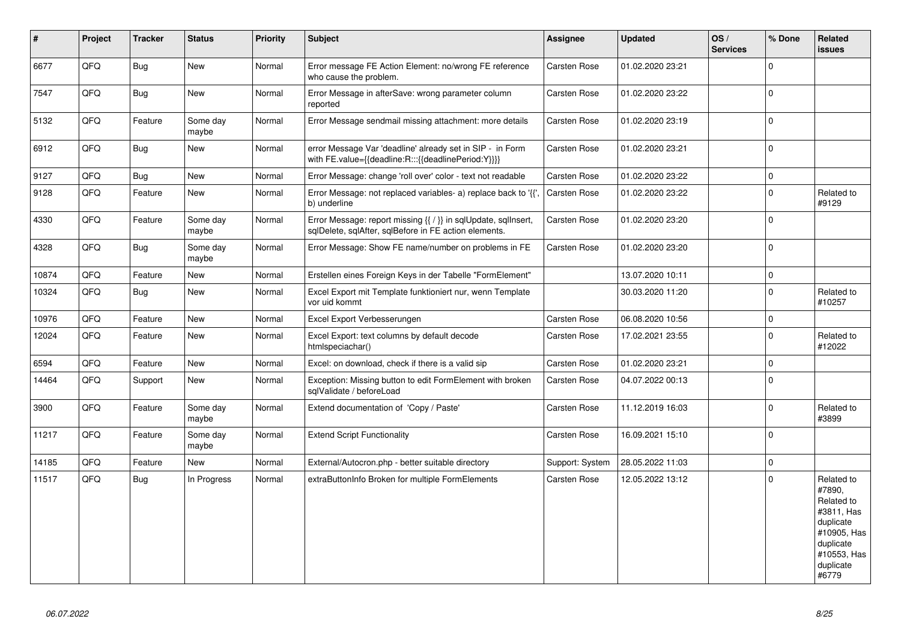| $\vert$ # | Project | <b>Tracker</b> | <b>Status</b>     | <b>Priority</b> | <b>Subject</b>                                                                                                          | <b>Assignee</b>     | <b>Updated</b>   | OS/<br><b>Services</b> | % Done       | Related<br><b>issues</b>                                                                                                       |
|-----------|---------|----------------|-------------------|-----------------|-------------------------------------------------------------------------------------------------------------------------|---------------------|------------------|------------------------|--------------|--------------------------------------------------------------------------------------------------------------------------------|
| 6677      | QFQ     | Bug            | New               | Normal          | Error message FE Action Element: no/wrong FE reference<br>who cause the problem.                                        | <b>Carsten Rose</b> | 01.02.2020 23:21 |                        | $\mathbf{0}$ |                                                                                                                                |
| 7547      | QFQ     | Bug            | <b>New</b>        | Normal          | Error Message in afterSave: wrong parameter column<br>reported                                                          | <b>Carsten Rose</b> | 01.02.2020 23:22 |                        | $\mathbf{0}$ |                                                                                                                                |
| 5132      | QFQ     | Feature        | Some day<br>maybe | Normal          | Error Message sendmail missing attachment: more details                                                                 | <b>Carsten Rose</b> | 01.02.2020 23:19 |                        | $\mathbf{0}$ |                                                                                                                                |
| 6912      | QFQ     | <b>Bug</b>     | <b>New</b>        | Normal          | error Message Var 'deadline' already set in SIP - in Form<br>with FE.value={{deadline:R:::{{deadlinePeriod:Y}}}}        | Carsten Rose        | 01.02.2020 23:21 |                        | $\mathbf{0}$ |                                                                                                                                |
| 9127      | QFQ     | <b>Bug</b>     | <b>New</b>        | Normal          | Error Message: change 'roll over' color - text not readable                                                             | <b>Carsten Rose</b> | 01.02.2020 23:22 |                        | $\pmb{0}$    |                                                                                                                                |
| 9128      | QFQ     | Feature        | <b>New</b>        | Normal          | Error Message: not replaced variables- a) replace back to '{{'<br>b) underline                                          | Carsten Rose        | 01.02.2020 23:22 |                        | $\Omega$     | Related to<br>#9129                                                                                                            |
| 4330      | QFQ     | Feature        | Some day<br>maybe | Normal          | Error Message: report missing {{ / }} in sqlUpdate, sqlInsert,<br>sqlDelete, sqlAfter, sqlBefore in FE action elements. | <b>Carsten Rose</b> | 01.02.2020 23:20 |                        | $\mathbf{0}$ |                                                                                                                                |
| 4328      | QFQ     | <b>Bug</b>     | Some day<br>maybe | Normal          | Error Message: Show FE name/number on problems in FE                                                                    | <b>Carsten Rose</b> | 01.02.2020 23:20 |                        | $\mathbf{0}$ |                                                                                                                                |
| 10874     | QFQ     | Feature        | New               | Normal          | Erstellen eines Foreign Keys in der Tabelle "FormElement"                                                               |                     | 13.07.2020 10:11 |                        | $\mathbf{0}$ |                                                                                                                                |
| 10324     | QFQ     | Bug            | New               | Normal          | Excel Export mit Template funktioniert nur, wenn Template<br>vor uid kommt                                              |                     | 30.03.2020 11:20 |                        | 0            | Related to<br>#10257                                                                                                           |
| 10976     | QFQ     | Feature        | <b>New</b>        | Normal          | Excel Export Verbesserungen                                                                                             | Carsten Rose        | 06.08.2020 10:56 |                        | 0            |                                                                                                                                |
| 12024     | QFQ     | Feature        | New               | Normal          | Excel Export: text columns by default decode<br>htmlspeciachar()                                                        | <b>Carsten Rose</b> | 17.02.2021 23:55 |                        | $\mathbf{0}$ | Related to<br>#12022                                                                                                           |
| 6594      | QFQ     | Feature        | <b>New</b>        | Normal          | Excel: on download, check if there is a valid sip                                                                       | <b>Carsten Rose</b> | 01.02.2020 23:21 |                        | $\mathbf 0$  |                                                                                                                                |
| 14464     | QFQ     | Support        | <b>New</b>        | Normal          | Exception: Missing button to edit FormElement with broken<br>sqlValidate / beforeLoad                                   | Carsten Rose        | 04.07.2022 00:13 |                        | $\mathbf 0$  |                                                                                                                                |
| 3900      | QFQ     | Feature        | Some day<br>maybe | Normal          | Extend documentation of 'Copy / Paste'                                                                                  | Carsten Rose        | 11.12.2019 16:03 |                        | $\Omega$     | Related to<br>#3899                                                                                                            |
| 11217     | QFQ     | Feature        | Some day<br>maybe | Normal          | <b>Extend Script Functionality</b>                                                                                      | Carsten Rose        | 16.09.2021 15:10 |                        | $\Omega$     |                                                                                                                                |
| 14185     | QFQ     | Feature        | <b>New</b>        | Normal          | External/Autocron.php - better suitable directory                                                                       | Support: System     | 28.05.2022 11:03 |                        | $\mathbf{0}$ |                                                                                                                                |
| 11517     | QFQ     | Bug            | In Progress       | Normal          | extraButtonInfo Broken for multiple FormElements                                                                        | <b>Carsten Rose</b> | 12.05.2022 13:12 |                        | $\mathbf 0$  | Related to<br>#7890,<br>Related to<br>#3811, Has<br>duplicate<br>#10905, Has<br>duplicate<br>#10553, Has<br>duplicate<br>#6779 |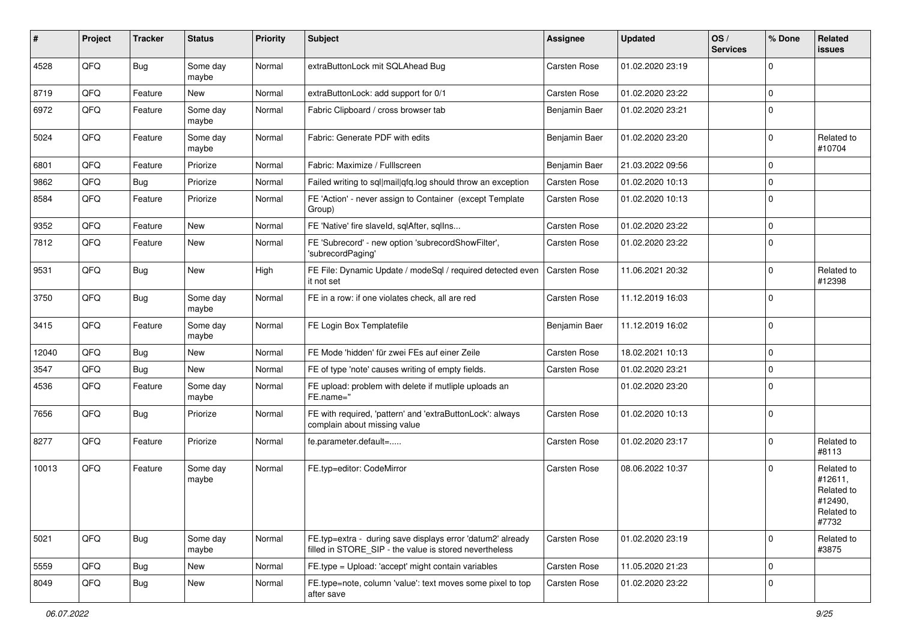| ∦     | Project | <b>Tracker</b> | <b>Status</b>     | <b>Priority</b> | <b>Subject</b>                                                                                                       | <b>Assignee</b>     | <b>Updated</b>   | OS/<br><b>Services</b> | % Done       | Related<br><b>issues</b>                                              |
|-------|---------|----------------|-------------------|-----------------|----------------------------------------------------------------------------------------------------------------------|---------------------|------------------|------------------------|--------------|-----------------------------------------------------------------------|
| 4528  | QFQ     | Bug            | Some day<br>maybe | Normal          | extraButtonLock mit SQLAhead Bug                                                                                     | Carsten Rose        | 01.02.2020 23:19 |                        | <sup>0</sup> |                                                                       |
| 8719  | QFQ     | Feature        | New               | Normal          | extraButtonLock: add support for 0/1                                                                                 | <b>Carsten Rose</b> | 01.02.2020 23:22 |                        | 0            |                                                                       |
| 6972  | QFQ     | Feature        | Some day<br>maybe | Normal          | Fabric Clipboard / cross browser tab                                                                                 | Benjamin Baer       | 01.02.2020 23:21 |                        | $\Omega$     |                                                                       |
| 5024  | QFQ     | Feature        | Some day<br>maybe | Normal          | Fabric: Generate PDF with edits                                                                                      | Benjamin Baer       | 01.02.2020 23:20 |                        | $\Omega$     | Related to<br>#10704                                                  |
| 6801  | QFQ     | Feature        | Priorize          | Normal          | Fabric: Maximize / FullIscreen                                                                                       | Benjamin Baer       | 21.03.2022 09:56 |                        | 0            |                                                                       |
| 9862  | QFQ     | Bug            | Priorize          | Normal          | Failed writing to sql mail qfq.log should throw an exception                                                         | <b>Carsten Rose</b> | 01.02.2020 10:13 |                        | 0            |                                                                       |
| 8584  | QFQ     | Feature        | Priorize          | Normal          | FE 'Action' - never assign to Container (except Template<br>Group)                                                   | Carsten Rose        | 01.02.2020 10:13 |                        | $\Omega$     |                                                                       |
| 9352  | QFQ     | Feature        | New               | Normal          | FE 'Native' fire slaveld, sqlAfter, sqlIns                                                                           | <b>Carsten Rose</b> | 01.02.2020 23:22 |                        | $\mathbf 0$  |                                                                       |
| 7812  | QFQ     | Feature        | New               | Normal          | FE 'Subrecord' - new option 'subrecordShowFilter',<br>'subrecordPaging'                                              | <b>Carsten Rose</b> | 01.02.2020 23:22 |                        | 0            |                                                                       |
| 9531  | QFQ     | <b>Bug</b>     | New               | High            | FE File: Dynamic Update / modeSql / required detected even<br>it not set                                             | <b>Carsten Rose</b> | 11.06.2021 20:32 |                        | 0            | Related to<br>#12398                                                  |
| 3750  | QFQ     | Bug            | Some day<br>maybe | Normal          | FE in a row: if one violates check, all are red                                                                      | Carsten Rose        | 11.12.2019 16:03 |                        | 0            |                                                                       |
| 3415  | QFQ     | Feature        | Some day<br>maybe | Normal          | FE Login Box Templatefile                                                                                            | Benjamin Baer       | 11.12.2019 16:02 |                        | $\Omega$     |                                                                       |
| 12040 | QFQ     | Bug            | New               | Normal          | FE Mode 'hidden' für zwei FEs auf einer Zeile                                                                        | <b>Carsten Rose</b> | 18.02.2021 10:13 |                        | $\mathbf 0$  |                                                                       |
| 3547  | QFQ     | Bug            | New               | Normal          | FE of type 'note' causes writing of empty fields.                                                                    | Carsten Rose        | 01.02.2020 23:21 |                        | $\mathbf 0$  |                                                                       |
| 4536  | QFQ     | Feature        | Some day<br>maybe | Normal          | FE upload: problem with delete if mutliple uploads an<br>FE.name="                                                   |                     | 01.02.2020 23:20 |                        | $\Omega$     |                                                                       |
| 7656  | QFQ     | Bug            | Priorize          | Normal          | FE with required, 'pattern' and 'extraButtonLock': always<br>complain about missing value                            | <b>Carsten Rose</b> | 01.02.2020 10:13 |                        | $\mathbf 0$  |                                                                       |
| 8277  | QFQ     | Feature        | Priorize          | Normal          | fe.parameter.default=                                                                                                | Carsten Rose        | 01.02.2020 23:17 |                        | 0            | Related to<br>#8113                                                   |
| 10013 | QFQ     | Feature        | Some day<br>maybe | Normal          | FE.typ=editor: CodeMirror                                                                                            | <b>Carsten Rose</b> | 08.06.2022 10:37 |                        | 0            | Related to<br>#12611,<br>Related to<br>#12490,<br>Related to<br>#7732 |
| 5021  | QFQ     | <b>Bug</b>     | Some day<br>maybe | Normal          | FE.typ=extra - during save displays error 'datum2' already<br>filled in STORE_SIP - the value is stored nevertheless | Carsten Rose        | 01.02.2020 23:19 |                        | $\mathbf 0$  | Related to<br>#3875                                                   |
| 5559  | QFQ     | <b>Bug</b>     | New               | Normal          | FE.type = Upload: 'accept' might contain variables                                                                   | Carsten Rose        | 11.05.2020 21:23 |                        | 0            |                                                                       |
| 8049  | QFQ     | <b>Bug</b>     | New               | Normal          | FE.type=note, column 'value': text moves some pixel to top<br>after save                                             | Carsten Rose        | 01.02.2020 23:22 |                        | 0            |                                                                       |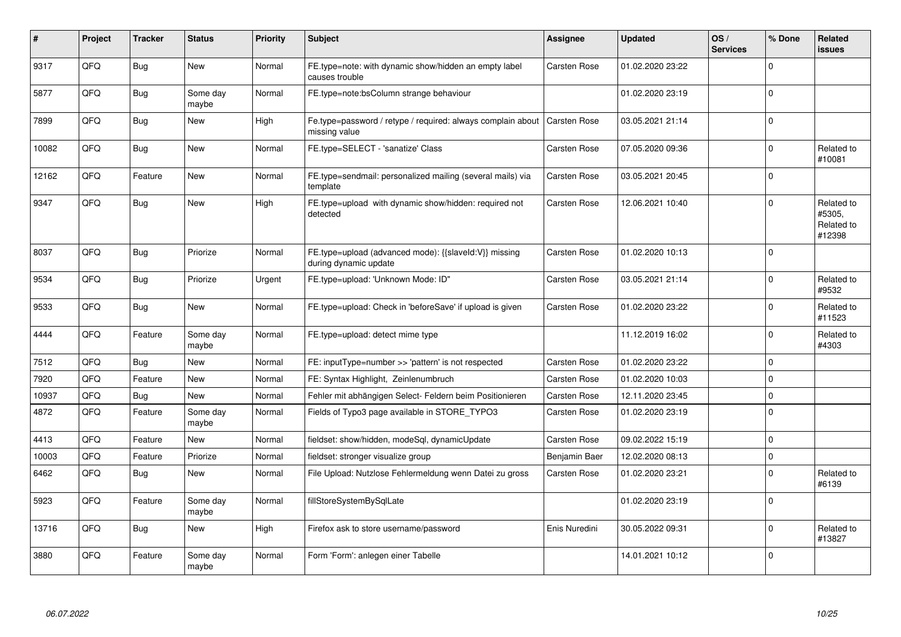| $\#$  | Project | <b>Tracker</b> | <b>Status</b>     | <b>Priority</b> | <b>Subject</b>                                                                 | <b>Assignee</b>     | <b>Updated</b>   | OS/<br><b>Services</b> | % Done      | <b>Related</b><br>issues                     |
|-------|---------|----------------|-------------------|-----------------|--------------------------------------------------------------------------------|---------------------|------------------|------------------------|-------------|----------------------------------------------|
| 9317  | QFQ     | <b>Bug</b>     | <b>New</b>        | Normal          | FE.type=note: with dynamic show/hidden an empty label<br>causes trouble        | Carsten Rose        | 01.02.2020 23:22 |                        | $\Omega$    |                                              |
| 5877  | QFQ     | Bug            | Some day<br>maybe | Normal          | FE.type=note:bsColumn strange behaviour                                        |                     | 01.02.2020 23:19 |                        | $\Omega$    |                                              |
| 7899  | QFQ     | <b>Bug</b>     | <b>New</b>        | High            | Fe.type=password / retype / required: always complain about<br>missing value   | <b>Carsten Rose</b> | 03.05.2021 21:14 |                        | $\Omega$    |                                              |
| 10082 | QFQ     | Bug            | New               | Normal          | FE.type=SELECT - 'sanatize' Class                                              | Carsten Rose        | 07.05.2020 09:36 |                        | 0           | Related to<br>#10081                         |
| 12162 | QFQ     | Feature        | New               | Normal          | FE.type=sendmail: personalized mailing (several mails) via<br>template         | <b>Carsten Rose</b> | 03.05.2021 20:45 |                        | $\Omega$    |                                              |
| 9347  | QFQ     | Bug            | New               | High            | FE.type=upload with dynamic show/hidden: required not<br>detected              | <b>Carsten Rose</b> | 12.06.2021 10:40 |                        | $\Omega$    | Related to<br>#5305,<br>Related to<br>#12398 |
| 8037  | QFQ     | Bug            | Priorize          | Normal          | FE.type=upload (advanced mode): {{slaveld:V}} missing<br>during dynamic update | <b>Carsten Rose</b> | 01.02.2020 10:13 |                        | $\Omega$    |                                              |
| 9534  | QFQ     | Bug            | Priorize          | Urgent          | FE.type=upload: 'Unknown Mode: ID"                                             | <b>Carsten Rose</b> | 03.05.2021 21:14 |                        | $\Omega$    | Related to<br>#9532                          |
| 9533  | QFQ     | Bug            | New               | Normal          | FE.type=upload: Check in 'beforeSave' if upload is given                       | <b>Carsten Rose</b> | 01.02.2020 23:22 |                        | $\Omega$    | Related to<br>#11523                         |
| 4444  | QFQ     | Feature        | Some day<br>maybe | Normal          | FE.type=upload: detect mime type                                               |                     | 11.12.2019 16:02 |                        | $\Omega$    | Related to<br>#4303                          |
| 7512  | QFQ     | Bug            | <b>New</b>        | Normal          | FE: inputType=number >> 'pattern' is not respected                             | <b>Carsten Rose</b> | 01.02.2020 23:22 |                        | $\mathbf 0$ |                                              |
| 7920  | QFQ     | Feature        | <b>New</b>        | Normal          | FE: Syntax Highlight, Zeinlenumbruch                                           | <b>Carsten Rose</b> | 01.02.2020 10:03 |                        | $\mathbf 0$ |                                              |
| 10937 | QFQ     | Bug            | <b>New</b>        | Normal          | Fehler mit abhängigen Select- Feldern beim Positionieren                       | <b>Carsten Rose</b> | 12.11.2020 23:45 |                        | $\Omega$    |                                              |
| 4872  | QFQ     | Feature        | Some day<br>maybe | Normal          | Fields of Typo3 page available in STORE TYPO3                                  | Carsten Rose        | 01.02.2020 23:19 |                        | $\Omega$    |                                              |
| 4413  | QFQ     | Feature        | New               | Normal          | fieldset: show/hidden, modeSql, dynamicUpdate                                  | Carsten Rose        | 09.02.2022 15:19 |                        | 0           |                                              |
| 10003 | QFQ     | Feature        | Priorize          | Normal          | fieldset: stronger visualize group                                             | Benjamin Baer       | 12.02.2020 08:13 |                        | $\Omega$    |                                              |
| 6462  | QFQ     | Bug            | New               | Normal          | File Upload: Nutzlose Fehlermeldung wenn Datei zu gross                        | Carsten Rose        | 01.02.2020 23:21 |                        | $\Omega$    | Related to<br>#6139                          |
| 5923  | QFQ     | Feature        | Some day<br>maybe | Normal          | fillStoreSystemBySqlLate                                                       |                     | 01.02.2020 23:19 |                        | $\mathbf 0$ |                                              |
| 13716 | QFQ     | Bug            | New               | High            | Firefox ask to store username/password                                         | Enis Nuredini       | 30.05.2022 09:31 |                        | $\Omega$    | Related to<br>#13827                         |
| 3880  | QFQ     | Feature        | Some day<br>maybe | Normal          | Form 'Form': anlegen einer Tabelle                                             |                     | 14.01.2021 10:12 |                        | $\Omega$    |                                              |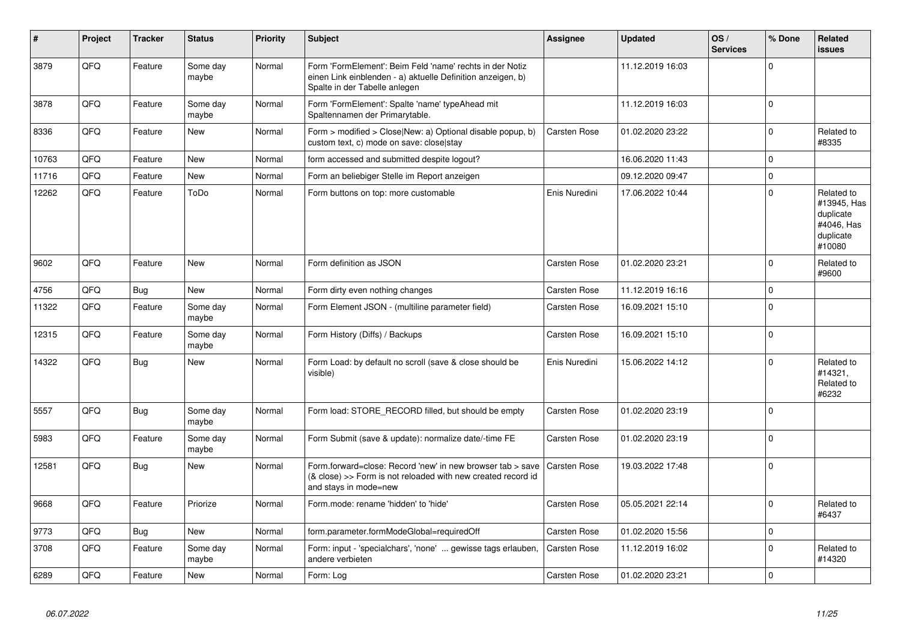| #     | Project | <b>Tracker</b> | <b>Status</b>     | <b>Priority</b> | <b>Subject</b>                                                                                                                                           | Assignee            | <b>Updated</b>   | OS/<br><b>Services</b> | % Done      | Related<br>issues                                                           |
|-------|---------|----------------|-------------------|-----------------|----------------------------------------------------------------------------------------------------------------------------------------------------------|---------------------|------------------|------------------------|-------------|-----------------------------------------------------------------------------|
| 3879  | QFQ     | Feature        | Some day<br>maybe | Normal          | Form 'FormElement': Beim Feld 'name' rechts in der Notiz<br>einen Link einblenden - a) aktuelle Definition anzeigen, b)<br>Spalte in der Tabelle anlegen |                     | 11.12.2019 16:03 |                        | $\Omega$    |                                                                             |
| 3878  | QFQ     | Feature        | Some day<br>maybe | Normal          | Form 'FormElement': Spalte 'name' typeAhead mit<br>Spaltennamen der Primarytable.                                                                        |                     | 11.12.2019 16:03 |                        | $\Omega$    |                                                                             |
| 8336  | QFQ     | Feature        | New               | Normal          | Form > modified > Close New: a) Optional disable popup, b)<br>custom text, c) mode on save: close stay                                                   | <b>Carsten Rose</b> | 01.02.2020 23:22 |                        | $\Omega$    | Related to<br>#8335                                                         |
| 10763 | QFQ     | Feature        | <b>New</b>        | Normal          | form accessed and submitted despite logout?                                                                                                              |                     | 16.06.2020 11:43 |                        | $\Omega$    |                                                                             |
| 11716 | QFQ     | Feature        | New               | Normal          | Form an beliebiger Stelle im Report anzeigen                                                                                                             |                     | 09.12.2020 09:47 |                        | $\Omega$    |                                                                             |
| 12262 | QFQ     | Feature        | ToDo              | Normal          | Form buttons on top: more customable                                                                                                                     | Enis Nuredini       | 17.06.2022 10:44 |                        | $\Omega$    | Related to<br>#13945, Has<br>duplicate<br>#4046, Has<br>duplicate<br>#10080 |
| 9602  | QFQ     | Feature        | New               | Normal          | Form definition as JSON                                                                                                                                  | <b>Carsten Rose</b> | 01.02.2020 23:21 |                        | $\Omega$    | Related to<br>#9600                                                         |
| 4756  | QFQ     | Bug            | <b>New</b>        | Normal          | Form dirty even nothing changes                                                                                                                          | <b>Carsten Rose</b> | 11.12.2019 16:16 |                        | 0           |                                                                             |
| 11322 | QFQ     | Feature        | Some day<br>maybe | Normal          | Form Element JSON - (multiline parameter field)                                                                                                          | <b>Carsten Rose</b> | 16.09.2021 15:10 |                        | $\Omega$    |                                                                             |
| 12315 | QFQ     | Feature        | Some day<br>maybe | Normal          | Form History (Diffs) / Backups                                                                                                                           | <b>Carsten Rose</b> | 16.09.2021 15:10 |                        | $\Omega$    |                                                                             |
| 14322 | QFQ     | Bug            | New               | Normal          | Form Load: by default no scroll (save & close should be<br>visible)                                                                                      | Enis Nuredini       | 15.06.2022 14:12 |                        | $\Omega$    | Related to<br>#14321,<br>Related to<br>#6232                                |
| 5557  | QFQ     | <b>Bug</b>     | Some day<br>maybe | Normal          | Form load: STORE_RECORD filled, but should be empty                                                                                                      | Carsten Rose        | 01.02.2020 23:19 |                        | $\Omega$    |                                                                             |
| 5983  | QFQ     | Feature        | Some day<br>maybe | Normal          | Form Submit (save & update): normalize date/-time FE                                                                                                     | <b>Carsten Rose</b> | 01.02.2020 23:19 |                        | $\Omega$    |                                                                             |
| 12581 | QFQ     | <b>Bug</b>     | <b>New</b>        | Normal          | Form.forward=close: Record 'new' in new browser tab > save<br>(& close) >> Form is not reloaded with new created record id<br>and stays in mode=new      | <b>Carsten Rose</b> | 19.03.2022 17:48 |                        | $\Omega$    |                                                                             |
| 9668  | QFQ     | Feature        | Priorize          | Normal          | Form.mode: rename 'hidden' to 'hide'                                                                                                                     | Carsten Rose        | 05.05.2021 22:14 |                        | $\Omega$    | Related to<br>#6437                                                         |
| 9773  | QFQ     | Bug            | New               | Normal          | form.parameter.formModeGlobal=requiredOff                                                                                                                | <b>Carsten Rose</b> | 01.02.2020 15:56 |                        | $\mathbf 0$ |                                                                             |
| 3708  | QFQ     | Feature        | Some day<br>maybe | Normal          | Form: input - 'specialchars', 'none'  gewisse tags erlauben,<br>andere verbieten                                                                         | Carsten Rose        | 11.12.2019 16:02 |                        | $\Omega$    | Related to<br>#14320                                                        |
| 6289  | QFQ     | Feature        | <b>New</b>        | Normal          | Form: Log                                                                                                                                                | <b>Carsten Rose</b> | 01.02.2020 23:21 |                        | $\Omega$    |                                                                             |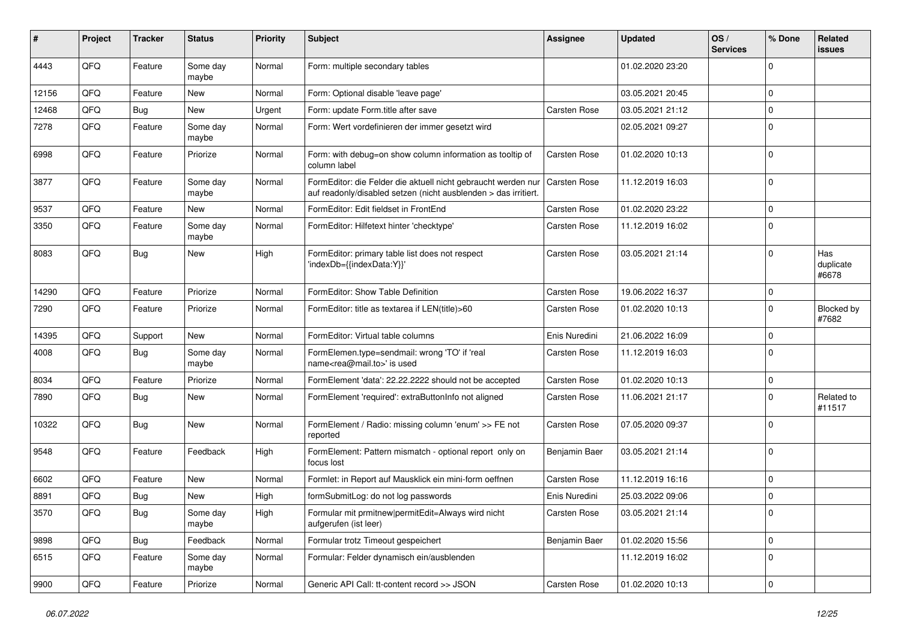| #     | Project | <b>Tracker</b> | <b>Status</b>     | Priority | <b>Subject</b>                                                                                                                   | <b>Assignee</b>     | <b>Updated</b>   | OS/<br><b>Services</b> | % Done              | Related<br>issues         |
|-------|---------|----------------|-------------------|----------|----------------------------------------------------------------------------------------------------------------------------------|---------------------|------------------|------------------------|---------------------|---------------------------|
| 4443  | QFQ     | Feature        | Some day<br>maybe | Normal   | Form: multiple secondary tables                                                                                                  |                     | 01.02.2020 23:20 |                        | $\mathbf 0$         |                           |
| 12156 | QFQ     | Feature        | New               | Normal   | Form: Optional disable 'leave page'                                                                                              |                     | 03.05.2021 20:45 |                        | 0                   |                           |
| 12468 | QFQ     | Bug            | <b>New</b>        | Urgent   | Form: update Form.title after save                                                                                               | <b>Carsten Rose</b> | 03.05.2021 21:12 |                        | $\mathbf 0$         |                           |
| 7278  | QFQ     | Feature        | Some day<br>maybe | Normal   | Form: Wert vordefinieren der immer gesetzt wird                                                                                  |                     | 02.05.2021 09:27 |                        | $\mathbf 0$         |                           |
| 6998  | QFQ     | Feature        | Priorize          | Normal   | Form: with debug=on show column information as tooltip of<br>column label                                                        | <b>Carsten Rose</b> | 01.02.2020 10:13 |                        | $\mathbf 0$         |                           |
| 3877  | QFQ     | Feature        | Some day<br>maybe | Normal   | FormEditor: die Felder die aktuell nicht gebraucht werden nur<br>auf readonly/disabled setzen (nicht ausblenden > das irritiert. | <b>Carsten Rose</b> | 11.12.2019 16:03 |                        | $\mathbf 0$         |                           |
| 9537  | QFQ     | Feature        | New               | Normal   | FormEditor: Edit fieldset in FrontEnd                                                                                            | <b>Carsten Rose</b> | 01.02.2020 23:22 |                        | $\mathbf 0$         |                           |
| 3350  | QFQ     | Feature        | Some day<br>maybe | Normal   | FormEditor: Hilfetext hinter 'checktype'                                                                                         | <b>Carsten Rose</b> | 11.12.2019 16:02 |                        | $\mathbf 0$         |                           |
| 8083  | QFQ     | Bug            | New               | High     | FormEditor: primary table list does not respect<br>'indexDb={{indexData:Y}}'                                                     | <b>Carsten Rose</b> | 03.05.2021 21:14 |                        | $\mathbf 0$         | Has<br>duplicate<br>#6678 |
| 14290 | QFQ     | Feature        | Priorize          | Normal   | FormEditor: Show Table Definition                                                                                                | Carsten Rose        | 19.06.2022 16:37 |                        | $\mathbf 0$         |                           |
| 7290  | QFQ     | Feature        | Priorize          | Normal   | FormEditor: title as textarea if LEN(title)>60                                                                                   | <b>Carsten Rose</b> | 01.02.2020 10:13 |                        | $\mathbf 0$         | Blocked by<br>#7682       |
| 14395 | QFQ     | Support        | <b>New</b>        | Normal   | FormEditor: Virtual table columns                                                                                                | Enis Nuredini       | 21.06.2022 16:09 |                        | 0                   |                           |
| 4008  | QFQ     | Bug            | Some day<br>maybe | Normal   | FormElemen.type=sendmail: wrong 'TO' if 'real<br>name <rea@mail.to>' is used</rea@mail.to>                                       | <b>Carsten Rose</b> | 11.12.2019 16:03 |                        | $\mathbf 0$         |                           |
| 8034  | QFQ     | Feature        | Priorize          | Normal   | FormElement 'data': 22.22.2222 should not be accepted                                                                            | Carsten Rose        | 01.02.2020 10:13 |                        | 0                   |                           |
| 7890  | QFQ     | <b>Bug</b>     | <b>New</b>        | Normal   | FormElement 'required': extraButtonInfo not aligned                                                                              | <b>Carsten Rose</b> | 11.06.2021 21:17 |                        | $\mathbf 0$         | Related to<br>#11517      |
| 10322 | QFQ     | <b>Bug</b>     | New               | Normal   | FormElement / Radio: missing column 'enum' >> FE not<br>reported                                                                 | <b>Carsten Rose</b> | 07.05.2020 09:37 |                        | $\mathbf 0$         |                           |
| 9548  | QFQ     | Feature        | Feedback          | High     | FormElement: Pattern mismatch - optional report only on<br>focus lost                                                            | Benjamin Baer       | 03.05.2021 21:14 |                        | $\mathbf 0$         |                           |
| 6602  | QFQ     | Feature        | <b>New</b>        | Normal   | Formlet: in Report auf Mausklick ein mini-form oeffnen                                                                           | Carsten Rose        | 11.12.2019 16:16 |                        | $\mathbf 0$         |                           |
| 8891  | QFQ     | Bug            | <b>New</b>        | High     | formSubmitLog: do not log passwords                                                                                              | Enis Nuredini       | 25.03.2022 09:06 |                        | $\mathbf 0$         |                           |
| 3570  | QFQ     | Bug            | Some day<br>maybe | High     | Formular mit prmitnew permitEdit=Always wird nicht<br>aufgerufen (ist leer)                                                      | Carsten Rose        | 03.05.2021 21:14 |                        | 0                   |                           |
| 9898  | QFQ     | Bug            | Feedback          | Normal   | Formular trotz Timeout gespeichert                                                                                               | Benjamin Baer       | 01.02.2020 15:56 |                        | $\mathbf 0$         |                           |
| 6515  | QFQ     | Feature        | Some day<br>maybe | Normal   | Formular: Felder dynamisch ein/ausblenden                                                                                        |                     | 11.12.2019 16:02 |                        | 0                   |                           |
| 9900  | QFQ     | Feature        | Priorize          | Normal   | Generic API Call: tt-content record >> JSON                                                                                      | Carsten Rose        | 01.02.2020 10:13 |                        | $\mathsf{O}\xspace$ |                           |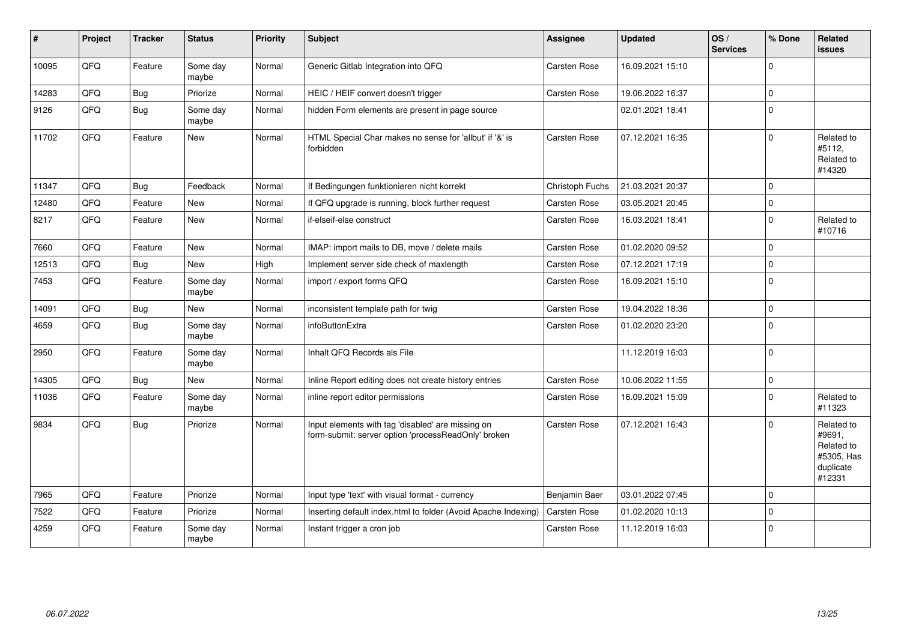| ∦     | Project | <b>Tracker</b> | <b>Status</b>     | <b>Priority</b> | <b>Subject</b>                                                                                           | <b>Assignee</b>     | <b>Updated</b>   | OS/<br><b>Services</b> | % Done       | Related<br><b>issues</b>                                                |
|-------|---------|----------------|-------------------|-----------------|----------------------------------------------------------------------------------------------------------|---------------------|------------------|------------------------|--------------|-------------------------------------------------------------------------|
| 10095 | QFQ     | Feature        | Some day<br>maybe | Normal          | Generic Gitlab Integration into QFQ                                                                      | <b>Carsten Rose</b> | 16.09.2021 15:10 |                        | <sup>0</sup> |                                                                         |
| 14283 | QFQ     | <b>Bug</b>     | Priorize          | Normal          | HEIC / HEIF convert doesn't trigger                                                                      | <b>Carsten Rose</b> | 19.06.2022 16:37 |                        | 0            |                                                                         |
| 9126  | QFQ     | <b>Bug</b>     | Some day<br>maybe | Normal          | hidden Form elements are present in page source                                                          |                     | 02.01.2021 18:41 |                        | $\Omega$     |                                                                         |
| 11702 | QFQ     | Feature        | <b>New</b>        | Normal          | HTML Special Char makes no sense for 'allbut' if '&' is<br>forbidden                                     | <b>Carsten Rose</b> | 07.12.2021 16:35 |                        | 0            | Related to<br>#5112,<br>Related to<br>#14320                            |
| 11347 | QFQ     | <b>Bug</b>     | Feedback          | Normal          | If Bedingungen funktionieren nicht korrekt                                                               | Christoph Fuchs     | 21.03.2021 20:37 |                        | $\Omega$     |                                                                         |
| 12480 | QFQ     | Feature        | <b>New</b>        | Normal          | If QFQ upgrade is running, block further request                                                         | Carsten Rose        | 03.05.2021 20:45 |                        | $\Omega$     |                                                                         |
| 8217  | QFQ     | Feature        | New               | Normal          | if-elseif-else construct                                                                                 | <b>Carsten Rose</b> | 16.03.2021 18:41 |                        | $\mathbf 0$  | Related to<br>#10716                                                    |
| 7660  | QFQ     | Feature        | <b>New</b>        | Normal          | IMAP: import mails to DB, move / delete mails                                                            | <b>Carsten Rose</b> | 01.02.2020 09:52 |                        | $\Omega$     |                                                                         |
| 12513 | QFQ     | Bug            | <b>New</b>        | High            | Implement server side check of maxlength                                                                 | <b>Carsten Rose</b> | 07.12.2021 17:19 |                        | $\Omega$     |                                                                         |
| 7453  | QFQ     | Feature        | Some day<br>maybe | Normal          | import / export forms QFQ                                                                                | <b>Carsten Rose</b> | 16.09.2021 15:10 |                        | $\Omega$     |                                                                         |
| 14091 | QFQ     | <b>Bug</b>     | <b>New</b>        | Normal          | inconsistent template path for twig                                                                      | <b>Carsten Rose</b> | 19.04.2022 18:36 |                        | 0            |                                                                         |
| 4659  | QFQ     | <b>Bug</b>     | Some day<br>maybe | Normal          | infoButtonExtra                                                                                          | Carsten Rose        | 01.02.2020 23:20 |                        | $\Omega$     |                                                                         |
| 2950  | QFQ     | Feature        | Some day<br>maybe | Normal          | Inhalt QFQ Records als File                                                                              |                     | 11.12.2019 16:03 |                        | $\Omega$     |                                                                         |
| 14305 | QFQ     | <b>Bug</b>     | <b>New</b>        | Normal          | Inline Report editing does not create history entries                                                    | Carsten Rose        | 10.06.2022 11:55 |                        | $\mathbf 0$  |                                                                         |
| 11036 | QFQ     | Feature        | Some day<br>maybe | Normal          | inline report editor permissions                                                                         | Carsten Rose        | 16.09.2021 15:09 |                        | 0            | Related to<br>#11323                                                    |
| 9834  | QFQ     | <b>Bug</b>     | Priorize          | Normal          | Input elements with tag 'disabled' are missing on<br>form-submit: server option 'processReadOnly' broken | <b>Carsten Rose</b> | 07.12.2021 16:43 |                        | $\Omega$     | Related to<br>#9691,<br>Related to<br>#5305, Has<br>duplicate<br>#12331 |
| 7965  | QFQ     | Feature        | Priorize          | Normal          | Input type 'text' with visual format - currency                                                          | Benjamin Baer       | 03.01.2022 07:45 |                        | 0            |                                                                         |
| 7522  | QFQ     | Feature        | Priorize          | Normal          | Inserting default index.html to folder (Avoid Apache Indexing)                                           | <b>Carsten Rose</b> | 01.02.2020 10:13 |                        | $\Omega$     |                                                                         |
| 4259  | QFQ     | Feature        | Some day<br>maybe | Normal          | Instant trigger a cron job                                                                               | <b>Carsten Rose</b> | 11.12.2019 16:03 |                        | $\Omega$     |                                                                         |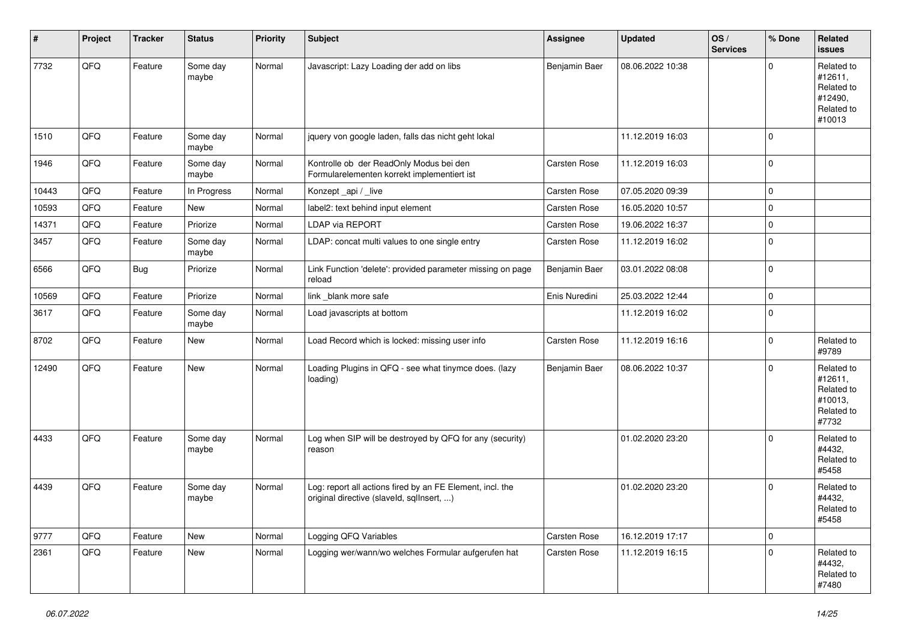| #     | Project | <b>Tracker</b> | <b>Status</b>     | <b>Priority</b> | Subject                                                                                                | Assignee            | <b>Updated</b>   | OS/<br><b>Services</b> | % Done      | Related<br><b>issues</b>                                               |
|-------|---------|----------------|-------------------|-----------------|--------------------------------------------------------------------------------------------------------|---------------------|------------------|------------------------|-------------|------------------------------------------------------------------------|
| 7732  | QFQ     | Feature        | Some day<br>maybe | Normal          | Javascript: Lazy Loading der add on libs                                                               | Benjamin Baer       | 08.06.2022 10:38 |                        | O           | Related to<br>#12611,<br>Related to<br>#12490,<br>Related to<br>#10013 |
| 1510  | QFQ     | Feature        | Some day<br>maybe | Normal          | jquery von google laden, falls das nicht geht lokal                                                    |                     | 11.12.2019 16:03 |                        | $\Omega$    |                                                                        |
| 1946  | QFQ     | Feature        | Some day<br>maybe | Normal          | Kontrolle ob der ReadOnly Modus bei den<br>Formularelementen korrekt implementiert ist                 | Carsten Rose        | 11.12.2019 16:03 |                        | $\mathbf 0$ |                                                                        |
| 10443 | QFQ     | Feature        | In Progress       | Normal          | Konzept_api / _live                                                                                    | <b>Carsten Rose</b> | 07.05.2020 09:39 |                        | $\mathbf 0$ |                                                                        |
| 10593 | QFQ     | Feature        | <b>New</b>        | Normal          | label2: text behind input element                                                                      | <b>Carsten Rose</b> | 16.05.2020 10:57 |                        | 0           |                                                                        |
| 14371 | QFQ     | Feature        | Priorize          | Normal          | <b>LDAP via REPORT</b>                                                                                 | <b>Carsten Rose</b> | 19.06.2022 16:37 |                        | 0           |                                                                        |
| 3457  | QFQ     | Feature        | Some day<br>maybe | Normal          | LDAP: concat multi values to one single entry                                                          | <b>Carsten Rose</b> | 11.12.2019 16:02 |                        | $\Omega$    |                                                                        |
| 6566  | QFQ     | <b>Bug</b>     | Priorize          | Normal          | Link Function 'delete': provided parameter missing on page<br>reload                                   | Benjamin Baer       | 03.01.2022 08:08 |                        | 0           |                                                                        |
| 10569 | QFQ     | Feature        | Priorize          | Normal          | link blank more safe                                                                                   | Enis Nuredini       | 25.03.2022 12:44 |                        | $\mathbf 0$ |                                                                        |
| 3617  | QFQ     | Feature        | Some day<br>maybe | Normal          | Load javascripts at bottom                                                                             |                     | 11.12.2019 16:02 |                        | 0           |                                                                        |
| 8702  | QFQ     | Feature        | New               | Normal          | Load Record which is locked: missing user info                                                         | <b>Carsten Rose</b> | 11.12.2019 16:16 |                        | $\mathbf 0$ | Related to<br>#9789                                                    |
| 12490 | QFQ     | Feature        | New               | Normal          | Loading Plugins in QFQ - see what tinymce does. (lazy<br>loading)                                      | Benjamin Baer       | 08.06.2022 10:37 |                        | $\Omega$    | Related to<br>#12611,<br>Related to<br>#10013,<br>Related to<br>#7732  |
| 4433  | QFQ     | Feature        | Some day<br>maybe | Normal          | Log when SIP will be destroyed by QFQ for any (security)<br>reason                                     |                     | 01.02.2020 23:20 |                        | $\Omega$    | Related to<br>#4432,<br>Related to<br>#5458                            |
| 4439  | QFQ     | Feature        | Some day<br>maybe | Normal          | Log: report all actions fired by an FE Element, incl. the<br>original directive (slaveld, sqlInsert, ) |                     | 01.02.2020 23:20 |                        | $\Omega$    | Related to<br>#4432,<br>Related to<br>#5458                            |
| 9777  | QFQ     | Feature        | New               | Normal          | Logging QFQ Variables                                                                                  | Carsten Rose        | 16.12.2019 17:17 |                        | 0           |                                                                        |
| 2361  | QFQ     | Feature        | New               | Normal          | Logging wer/wann/wo welches Formular aufgerufen hat                                                    | <b>Carsten Rose</b> | 11.12.2019 16:15 |                        | $\mathbf 0$ | Related to<br>#4432,<br>Related to<br>#7480                            |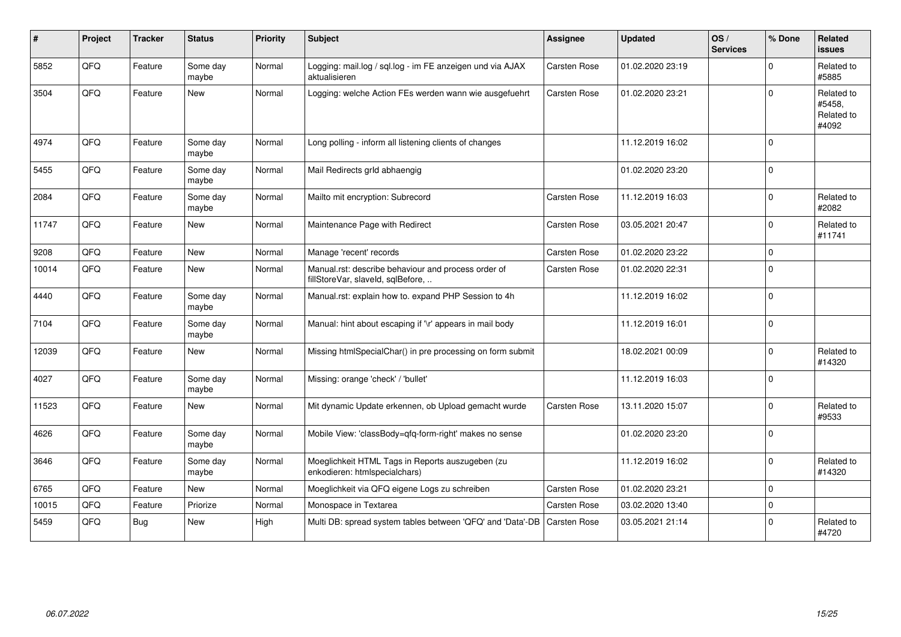| $\#$  | Project | <b>Tracker</b> | <b>Status</b>     | <b>Priority</b> | <b>Subject</b>                                                                           | <b>Assignee</b>     | <b>Updated</b>   | OS/<br><b>Services</b> | % Done       | Related<br><b>issues</b>                    |
|-------|---------|----------------|-------------------|-----------------|------------------------------------------------------------------------------------------|---------------------|------------------|------------------------|--------------|---------------------------------------------|
| 5852  | QFQ     | Feature        | Some day<br>maybe | Normal          | Logging: mail.log / sql.log - im FE anzeigen und via AJAX<br>aktualisieren               | <b>Carsten Rose</b> | 01.02.2020 23:19 |                        | <sup>0</sup> | Related to<br>#5885                         |
| 3504  | QFQ     | Feature        | <b>New</b>        | Normal          | Logging: welche Action FEs werden wann wie ausgefuehrt                                   | Carsten Rose        | 01.02.2020 23:21 |                        | $\Omega$     | Related to<br>#5458,<br>Related to<br>#4092 |
| 4974  | QFQ     | Feature        | Some day<br>maybe | Normal          | Long polling - inform all listening clients of changes                                   |                     | 11.12.2019 16:02 |                        | $\mathbf 0$  |                                             |
| 5455  | QFQ     | Feature        | Some day<br>maybe | Normal          | Mail Redirects grld abhaengig                                                            |                     | 01.02.2020 23:20 |                        | $\mathbf 0$  |                                             |
| 2084  | QFQ     | Feature        | Some day<br>maybe | Normal          | Mailto mit encryption: Subrecord                                                         | <b>Carsten Rose</b> | 11.12.2019 16:03 |                        | $\Omega$     | Related to<br>#2082                         |
| 11747 | QFQ     | Feature        | New               | Normal          | Maintenance Page with Redirect                                                           | <b>Carsten Rose</b> | 03.05.2021 20:47 |                        | 0            | Related to<br>#11741                        |
| 9208  | QFQ     | Feature        | <b>New</b>        | Normal          | Manage 'recent' records                                                                  | <b>Carsten Rose</b> | 01.02.2020 23:22 |                        | $\mathbf 0$  |                                             |
| 10014 | QFQ     | Feature        | <b>New</b>        | Normal          | Manual.rst: describe behaviour and process order of<br>fillStoreVar, slaveId, sqlBefore, | Carsten Rose        | 01.02.2020 22:31 |                        | $\Omega$     |                                             |
| 4440  | QFQ     | Feature        | Some day<br>maybe | Normal          | Manual.rst: explain how to. expand PHP Session to 4h                                     |                     | 11.12.2019 16:02 |                        | $\Omega$     |                                             |
| 7104  | QFQ     | Feature        | Some day<br>maybe | Normal          | Manual: hint about escaping if '\r' appears in mail body                                 |                     | 11.12.2019 16:01 |                        | $\Omega$     |                                             |
| 12039 | QFQ     | Feature        | <b>New</b>        | Normal          | Missing htmlSpecialChar() in pre processing on form submit                               |                     | 18.02.2021 00:09 |                        | $\Omega$     | Related to<br>#14320                        |
| 4027  | QFQ     | Feature        | Some day<br>maybe | Normal          | Missing: orange 'check' / 'bullet'                                                       |                     | 11.12.2019 16:03 |                        | $\Omega$     |                                             |
| 11523 | QFQ     | Feature        | New               | Normal          | Mit dynamic Update erkennen, ob Upload gemacht wurde                                     | <b>Carsten Rose</b> | 13.11.2020 15:07 |                        | $\Omega$     | Related to<br>#9533                         |
| 4626  | QFQ     | Feature        | Some day<br>maybe | Normal          | Mobile View: 'classBody=qfq-form-right' makes no sense                                   |                     | 01.02.2020 23:20 |                        | $\Omega$     |                                             |
| 3646  | QFQ     | Feature        | Some day<br>maybe | Normal          | Moeglichkeit HTML Tags in Reports auszugeben (zu<br>enkodieren: htmlspecialchars)        |                     | 11.12.2019 16:02 |                        | $\Omega$     | Related to<br>#14320                        |
| 6765  | QFQ     | Feature        | New               | Normal          | Moeglichkeit via QFQ eigene Logs zu schreiben                                            | <b>Carsten Rose</b> | 01.02.2020 23:21 |                        | 0            |                                             |
| 10015 | QFQ     | Feature        | Priorize          | Normal          | Monospace in Textarea                                                                    | <b>Carsten Rose</b> | 03.02.2020 13:40 |                        | $\Omega$     |                                             |
| 5459  | QFQ     | Bug            | New               | High            | Multi DB: spread system tables between 'QFQ' and 'Data'-DB                               | <b>Carsten Rose</b> | 03.05.2021 21:14 |                        | 0            | Related to<br>#4720                         |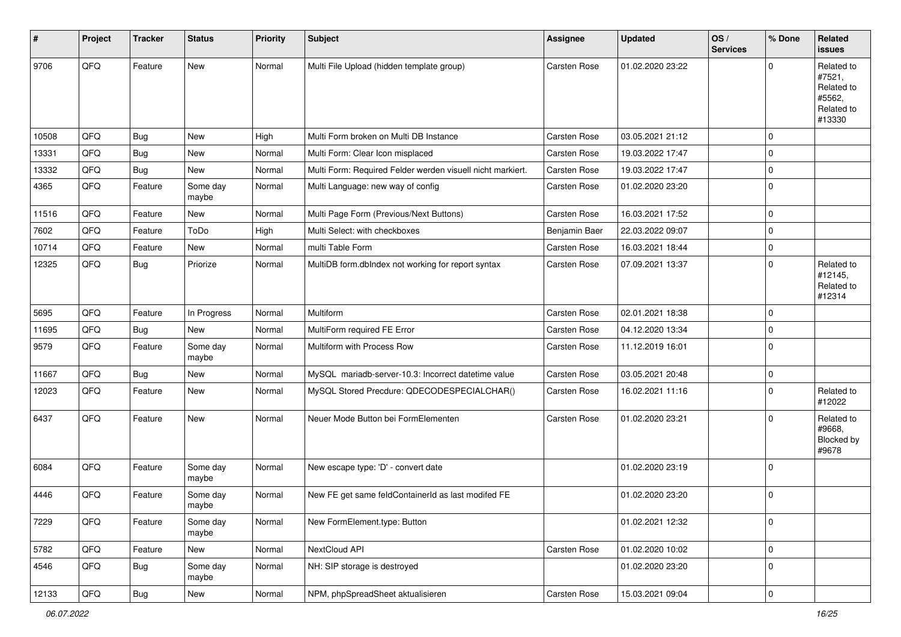| $\sharp$ | Project | <b>Tracker</b> | <b>Status</b>     | <b>Priority</b> | <b>Subject</b>                                             | <b>Assignee</b>     | <b>Updated</b>   | OS/<br><b>Services</b> | % Done       | Related<br>issues                                                    |
|----------|---------|----------------|-------------------|-----------------|------------------------------------------------------------|---------------------|------------------|------------------------|--------------|----------------------------------------------------------------------|
| 9706     | QFQ     | Feature        | <b>New</b>        | Normal          | Multi File Upload (hidden template group)                  | Carsten Rose        | 01.02.2020 23:22 |                        | <sup>0</sup> | Related to<br>#7521,<br>Related to<br>#5562,<br>Related to<br>#13330 |
| 10508    | QFQ     | <b>Bug</b>     | <b>New</b>        | High            | Multi Form broken on Multi DB Instance                     | <b>Carsten Rose</b> | 03.05.2021 21:12 |                        | 0            |                                                                      |
| 13331    | QFQ     | <b>Bug</b>     | <b>New</b>        | Normal          | Multi Form: Clear Icon misplaced                           | Carsten Rose        | 19.03.2022 17:47 |                        | 0            |                                                                      |
| 13332    | QFQ     | Bug            | <b>New</b>        | Normal          | Multi Form: Required Felder werden visuell nicht markiert. | Carsten Rose        | 19.03.2022 17:47 |                        | 0            |                                                                      |
| 4365     | QFQ     | Feature        | Some day<br>maybe | Normal          | Multi Language: new way of config                          | Carsten Rose        | 01.02.2020 23:20 |                        | 0            |                                                                      |
| 11516    | QFQ     | Feature        | <b>New</b>        | Normal          | Multi Page Form (Previous/Next Buttons)                    | <b>Carsten Rose</b> | 16.03.2021 17:52 |                        | $\mathbf 0$  |                                                                      |
| 7602     | QFQ     | Feature        | ToDo              | High            | Multi Select: with checkboxes                              | Benjamin Baer       | 22.03.2022 09:07 |                        | $\Omega$     |                                                                      |
| 10714    | QFQ     | Feature        | New               | Normal          | multi Table Form                                           | Carsten Rose        | 16.03.2021 18:44 |                        | 0            |                                                                      |
| 12325    | QFQ     | <b>Bug</b>     | Priorize          | Normal          | MultiDB form.dblndex not working for report syntax         | Carsten Rose        | 07.09.2021 13:37 |                        | $\Omega$     | Related to<br>#12145,<br>Related to<br>#12314                        |
| 5695     | QFQ     | Feature        | In Progress       | Normal          | Multiform                                                  | <b>Carsten Rose</b> | 02.01.2021 18:38 |                        | 0            |                                                                      |
| 11695    | QFQ     | Bug            | <b>New</b>        | Normal          | MultiForm required FE Error                                | Carsten Rose        | 04.12.2020 13:34 |                        | $\Omega$     |                                                                      |
| 9579     | QFQ     | Feature        | Some day<br>maybe | Normal          | Multiform with Process Row                                 | Carsten Rose        | 11.12.2019 16:01 |                        | 0            |                                                                      |
| 11667    | QFQ     | <b>Bug</b>     | <b>New</b>        | Normal          | MySQL mariadb-server-10.3: Incorrect datetime value        | Carsten Rose        | 03.05.2021 20:48 |                        | $\mathbf 0$  |                                                                      |
| 12023    | QFQ     | Feature        | New               | Normal          | MySQL Stored Precdure: QDECODESPECIALCHAR()                | Carsten Rose        | 16.02.2021 11:16 |                        | $\Omega$     | Related to<br>#12022                                                 |
| 6437     | QFQ     | Feature        | New               | Normal          | Neuer Mode Button bei FormElementen                        | Carsten Rose        | 01.02.2020 23:21 |                        | 0            | Related to<br>#9668,<br>Blocked by<br>#9678                          |
| 6084     | QFQ     | Feature        | Some day<br>maybe | Normal          | New escape type: 'D' - convert date                        |                     | 01.02.2020 23:19 |                        | 0            |                                                                      |
| 4446     | QFQ     | Feature        | Some day<br>maybe | Normal          | New FE get same feldContainerId as last modifed FE         |                     | 01.02.2020 23:20 |                        | $\mathbf 0$  |                                                                      |
| 7229     | QFQ     | Feature        | Some day<br>maybe | Normal          | New FormElement.type: Button                               |                     | 01.02.2021 12:32 |                        | $\mathbf 0$  |                                                                      |
| 5782     | QFQ     | Feature        | New               | Normal          | NextCloud API                                              | <b>Carsten Rose</b> | 01.02.2020 10:02 |                        | 0            |                                                                      |
| 4546     | QFQ     | Bug            | Some day<br>maybe | Normal          | NH: SIP storage is destroyed                               |                     | 01.02.2020 23:20 |                        | $\mathbf 0$  |                                                                      |
| 12133    | QFG     | Bug            | New               | Normal          | NPM, phpSpreadSheet aktualisieren                          | Carsten Rose        | 15.03.2021 09:04 |                        | $\mathbf 0$  |                                                                      |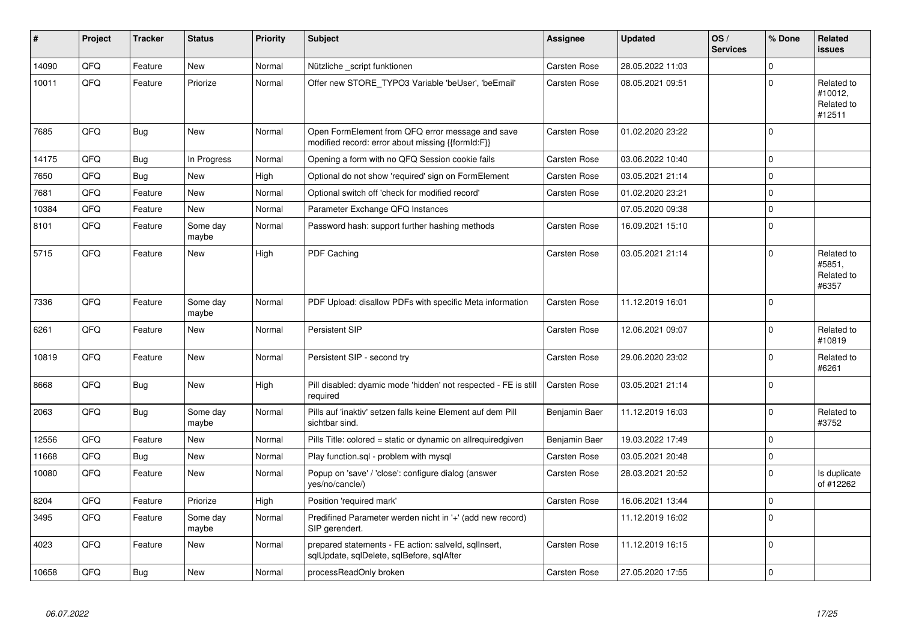| #     | Project | <b>Tracker</b> | <b>Status</b>     | <b>Priority</b> | <b>Subject</b>                                                                                        | <b>Assignee</b>     | <b>Updated</b>   | OS/<br><b>Services</b> | % Done      | <b>Related</b><br><b>issues</b>               |
|-------|---------|----------------|-------------------|-----------------|-------------------------------------------------------------------------------------------------------|---------------------|------------------|------------------------|-------------|-----------------------------------------------|
| 14090 | QFQ     | Feature        | <b>New</b>        | Normal          | Nützliche _script funktionen                                                                          | <b>Carsten Rose</b> | 28.05.2022 11:03 |                        | $\Omega$    |                                               |
| 10011 | QFQ     | Feature        | Priorize          | Normal          | Offer new STORE_TYPO3 Variable 'beUser', 'beEmail'                                                    | Carsten Rose        | 08.05.2021 09:51 |                        | $\Omega$    | Related to<br>#10012,<br>Related to<br>#12511 |
| 7685  | QFQ     | <b>Bug</b>     | <b>New</b>        | Normal          | Open FormElement from QFQ error message and save<br>modified record: error about missing {{formId:F}} | <b>Carsten Rose</b> | 01.02.2020 23:22 |                        | $\Omega$    |                                               |
| 14175 | QFQ     | Bug            | In Progress       | Normal          | Opening a form with no QFQ Session cookie fails                                                       | <b>Carsten Rose</b> | 03.06.2022 10:40 |                        | $\Omega$    |                                               |
| 7650  | QFQ     | <b>Bug</b>     | New               | High            | Optional do not show 'required' sign on FormElement                                                   | <b>Carsten Rose</b> | 03.05.2021 21:14 |                        | $\Omega$    |                                               |
| 7681  | QFQ     | Feature        | New               | Normal          | Optional switch off 'check for modified record'                                                       | <b>Carsten Rose</b> | 01.02.2020 23:21 |                        | 0           |                                               |
| 10384 | QFQ     | Feature        | <b>New</b>        | Normal          | Parameter Exchange QFQ Instances                                                                      |                     | 07.05.2020 09:38 |                        | $\Omega$    |                                               |
| 8101  | QFQ     | Feature        | Some day<br>maybe | Normal          | Password hash: support further hashing methods                                                        | Carsten Rose        | 16.09.2021 15:10 |                        | $\Omega$    |                                               |
| 5715  | QFQ     | Feature        | New               | High            | PDF Caching                                                                                           | <b>Carsten Rose</b> | 03.05.2021 21:14 |                        | 0           | Related to<br>#5851.<br>Related to<br>#6357   |
| 7336  | QFQ     | Feature        | Some day<br>maybe | Normal          | PDF Upload: disallow PDFs with specific Meta information                                              | <b>Carsten Rose</b> | 11.12.2019 16:01 |                        | $\Omega$    |                                               |
| 6261  | QFQ     | Feature        | New               | Normal          | Persistent SIP                                                                                        | <b>Carsten Rose</b> | 12.06.2021 09:07 |                        | $\Omega$    | Related to<br>#10819                          |
| 10819 | QFQ     | Feature        | New               | Normal          | Persistent SIP - second try                                                                           | <b>Carsten Rose</b> | 29.06.2020 23:02 |                        | 0           | Related to<br>#6261                           |
| 8668  | QFQ     | Bug            | New               | High            | Pill disabled: dyamic mode 'hidden' not respected - FE is still<br>required                           | <b>Carsten Rose</b> | 03.05.2021 21:14 |                        | $\Omega$    |                                               |
| 2063  | QFQ     | <b>Bug</b>     | Some day<br>maybe | Normal          | Pills auf 'inaktiv' setzen falls keine Element auf dem Pill<br>sichtbar sind.                         | Benjamin Baer       | 11.12.2019 16:03 |                        | $\Omega$    | Related to<br>#3752                           |
| 12556 | QFQ     | Feature        | <b>New</b>        | Normal          | Pills Title: colored = static or dynamic on allrequiredgiven                                          | Benjamin Baer       | 19.03.2022 17:49 |                        | 0           |                                               |
| 11668 | QFQ     | <b>Bug</b>     | New               | Normal          | Play function.sql - problem with mysql                                                                | <b>Carsten Rose</b> | 03.05.2021 20:48 |                        | $\Omega$    |                                               |
| 10080 | QFQ     | Feature        | New               | Normal          | Popup on 'save' / 'close': configure dialog (answer<br>yes/no/cancle/)                                | <b>Carsten Rose</b> | 28.03.2021 20:52 |                        | 0           | Is duplicate<br>of #12262                     |
| 8204  | QFQ     | Feature        | Priorize          | High            | Position 'required mark'                                                                              | <b>Carsten Rose</b> | 16.06.2021 13:44 |                        | $\mathbf 0$ |                                               |
| 3495  | QFQ     | Feature        | Some day<br>maybe | Normal          | Predifined Parameter werden nicht in '+' (add new record)<br>SIP gerendert.                           |                     | 11.12.2019 16:02 |                        | $\Omega$    |                                               |
| 4023  | QFQ     | Feature        | New               | Normal          | prepared statements - FE action: salveld, sqllnsert,<br>sqlUpdate, sqlDelete, sqlBefore, sqlAfter     | Carsten Rose        | 11.12.2019 16:15 |                        | $\Omega$    |                                               |
| 10658 | QFQ     | Bug            | New               | Normal          | processReadOnly broken                                                                                | <b>Carsten Rose</b> | 27.05.2020 17:55 |                        | $\Omega$    |                                               |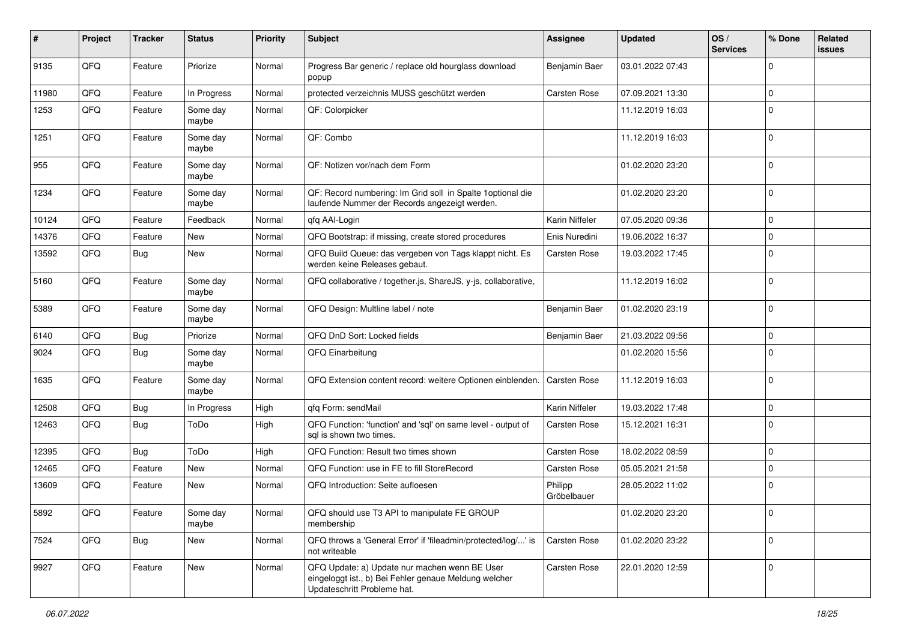| #     | Project | <b>Tracker</b> | <b>Status</b>     | <b>Priority</b> | <b>Subject</b>                                                                                                                        | <b>Assignee</b>        | <b>Updated</b>   | OS/<br><b>Services</b> | % Done       | Related<br>issues |
|-------|---------|----------------|-------------------|-----------------|---------------------------------------------------------------------------------------------------------------------------------------|------------------------|------------------|------------------------|--------------|-------------------|
| 9135  | QFQ     | Feature        | Priorize          | Normal          | Progress Bar generic / replace old hourglass download<br>popup                                                                        | Benjamin Baer          | 03.01.2022 07:43 |                        | $\mathbf 0$  |                   |
| 11980 | QFQ     | Feature        | In Progress       | Normal          | protected verzeichnis MUSS geschützt werden                                                                                           | <b>Carsten Rose</b>    | 07.09.2021 13:30 |                        | 0            |                   |
| 1253  | QFQ     | Feature        | Some day<br>maybe | Normal          | QF: Colorpicker                                                                                                                       |                        | 11.12.2019 16:03 |                        | $\mathbf 0$  |                   |
| 1251  | QFQ     | Feature        | Some day<br>maybe | Normal          | QF: Combo                                                                                                                             |                        | 11.12.2019 16:03 |                        | $\mathbf 0$  |                   |
| 955   | QFQ     | Feature        | Some day<br>maybe | Normal          | QF: Notizen vor/nach dem Form                                                                                                         |                        | 01.02.2020 23:20 |                        | $\mathbf 0$  |                   |
| 1234  | QFQ     | Feature        | Some day<br>maybe | Normal          | QF: Record numbering: Im Grid soll in Spalte 1 optional die<br>laufende Nummer der Records angezeigt werden.                          |                        | 01.02.2020 23:20 |                        | $\mathbf{0}$ |                   |
| 10124 | QFQ     | Feature        | Feedback          | Normal          | qfq AAI-Login                                                                                                                         | Karin Niffeler         | 07.05.2020 09:36 |                        | 0            |                   |
| 14376 | QFQ     | Feature        | New               | Normal          | QFQ Bootstrap: if missing, create stored procedures                                                                                   | Enis Nuredini          | 19.06.2022 16:37 |                        | 0            |                   |
| 13592 | QFQ     | <b>Bug</b>     | New               | Normal          | QFQ Build Queue: das vergeben von Tags klappt nicht. Es<br>werden keine Releases gebaut.                                              | <b>Carsten Rose</b>    | 19.03.2022 17:45 |                        | $\mathbf 0$  |                   |
| 5160  | QFQ     | Feature        | Some day<br>maybe | Normal          | QFQ collaborative / together.js, ShareJS, y-js, collaborative,                                                                        |                        | 11.12.2019 16:02 |                        | $\mathbf 0$  |                   |
| 5389  | QFQ     | Feature        | Some day<br>maybe | Normal          | QFQ Design: Multline label / note                                                                                                     | Benjamin Baer          | 01.02.2020 23:19 |                        | $\mathbf 0$  |                   |
| 6140  | QFQ     | Bug            | Priorize          | Normal          | QFQ DnD Sort: Locked fields                                                                                                           | Benjamin Baer          | 21.03.2022 09:56 |                        | 0            |                   |
| 9024  | QFQ     | Bug            | Some day<br>maybe | Normal          | QFQ Einarbeitung                                                                                                                      |                        | 01.02.2020 15:56 |                        | $\mathbf 0$  |                   |
| 1635  | QFQ     | Feature        | Some day<br>maybe | Normal          | QFQ Extension content record: weitere Optionen einblenden.                                                                            | <b>Carsten Rose</b>    | 11.12.2019 16:03 |                        | $\mathbf 0$  |                   |
| 12508 | QFQ     | Bug            | In Progress       | High            | qfq Form: sendMail                                                                                                                    | Karin Niffeler         | 19.03.2022 17:48 |                        | $\mathbf{0}$ |                   |
| 12463 | QFQ     | Bug            | ToDo              | High            | QFQ Function: 'function' and 'sql' on same level - output of<br>sql is shown two times.                                               | <b>Carsten Rose</b>    | 15.12.2021 16:31 |                        | $\mathbf 0$  |                   |
| 12395 | QFQ     | Bug            | ToDo              | High            | QFQ Function: Result two times shown                                                                                                  | <b>Carsten Rose</b>    | 18.02.2022 08:59 |                        | $\mathbf 0$  |                   |
| 12465 | QFQ     | Feature        | <b>New</b>        | Normal          | QFQ Function: use in FE to fill StoreRecord                                                                                           | Carsten Rose           | 05.05.2021 21:58 |                        | 0            |                   |
| 13609 | QFQ     | Feature        | New               | Normal          | QFQ Introduction: Seite aufloesen                                                                                                     | Philipp<br>Gröbelbauer | 28.05.2022 11:02 |                        | $\mathbf 0$  |                   |
| 5892  | QFQ     | Feature        | Some day<br>maybe | Normal          | QFQ should use T3 API to manipulate FE GROUP<br>membership                                                                            |                        | 01.02.2020 23:20 |                        | 0            |                   |
| 7524  | QFQ     | Bug            | New               | Normal          | QFQ throws a 'General Error' if 'fileadmin/protected/log/' is<br>not writeable                                                        | <b>Carsten Rose</b>    | 01.02.2020 23:22 |                        | $\mathbf 0$  |                   |
| 9927  | QFQ     | Feature        | New               | Normal          | QFQ Update: a) Update nur machen wenn BE User<br>eingeloggt ist., b) Bei Fehler genaue Meldung welcher<br>Updateschritt Probleme hat. | Carsten Rose           | 22.01.2020 12:59 |                        | 0            |                   |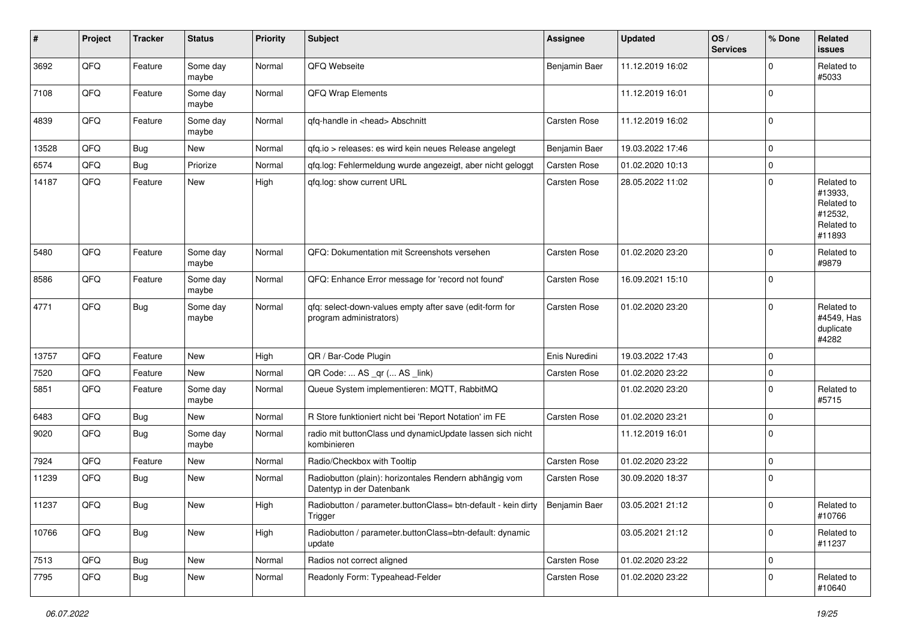| #     | Project | <b>Tracker</b> | <b>Status</b>     | <b>Priority</b> | <b>Subject</b>                                                                           | <b>Assignee</b> | <b>Updated</b>   | OS/<br><b>Services</b> | % Done         | Related<br>issues                                                      |
|-------|---------|----------------|-------------------|-----------------|------------------------------------------------------------------------------------------|-----------------|------------------|------------------------|----------------|------------------------------------------------------------------------|
| 3692  | QFQ     | Feature        | Some day<br>maybe | Normal          | QFQ Webseite                                                                             | Benjamin Baer   | 11.12.2019 16:02 |                        | $\Omega$       | Related to<br>#5033                                                    |
| 7108  | QFQ     | Feature        | Some day<br>maybe | Normal          | QFQ Wrap Elements                                                                        |                 | 11.12.2019 16:01 |                        | $\Omega$       |                                                                        |
| 4839  | QFQ     | Feature        | Some day<br>maybe | Normal          | qfq-handle in <head> Abschnitt</head>                                                    | Carsten Rose    | 11.12.2019 16:02 |                        | $\Omega$       |                                                                        |
| 13528 | QFQ     | Bug            | New               | Normal          | qfq.io > releases: es wird kein neues Release angelegt                                   | Benjamin Baer   | 19.03.2022 17:46 |                        | $\mathbf{0}$   |                                                                        |
| 6574  | QFQ     | <b>Bug</b>     | Priorize          | Normal          | gfg.log: Fehlermeldung wurde angezeigt, aber nicht geloggt                               | Carsten Rose    | 01.02.2020 10:13 |                        | $\mathbf{0}$   |                                                                        |
| 14187 | QFQ     | Feature        | New               | High            | qfq.log: show current URL                                                                | Carsten Rose    | 28.05.2022 11:02 |                        | $\mathbf{0}$   | Related to<br>#13933,<br>Related to<br>#12532,<br>Related to<br>#11893 |
| 5480  | QFQ     | Feature        | Some day<br>maybe | Normal          | QFQ: Dokumentation mit Screenshots versehen                                              | Carsten Rose    | 01.02.2020 23:20 |                        | $\mathbf{0}$   | Related to<br>#9879                                                    |
| 8586  | QFQ     | Feature        | Some day<br>maybe | Normal          | QFQ: Enhance Error message for 'record not found'                                        | Carsten Rose    | 16.09.2021 15:10 |                        | $\Omega$       |                                                                        |
| 4771  | QFQ     | <b>Bug</b>     | Some day<br>maybe | Normal          | qfq: select-down-values empty after save (edit-form for<br>program administrators)       | Carsten Rose    | 01.02.2020 23:20 |                        | $\Omega$       | Related to<br>#4549, Has<br>duplicate<br>#4282                         |
| 13757 | QFQ     | Feature        | <b>New</b>        | High            | QR / Bar-Code Plugin                                                                     | Enis Nuredini   | 19.03.2022 17:43 |                        | $\mathbf{0}$   |                                                                        |
| 7520  | QFQ     | Feature        | New               | Normal          | QR Code:  AS _qr ( AS _link)                                                             | Carsten Rose    | 01.02.2020 23:22 |                        | $\mathbf{0}$   |                                                                        |
| 5851  | QFQ     | Feature        | Some day<br>maybe | Normal          | Queue System implementieren: MQTT, RabbitMQ                                              |                 | 01.02.2020 23:20 |                        | $\Omega$       | Related to<br>#5715                                                    |
| 6483  | QFQ     | <b>Bug</b>     | New               | Normal          | R Store funktioniert nicht bei 'Report Notation' im FE                                   | Carsten Rose    | 01.02.2020 23:21 |                        | $\mathbf{0}$   |                                                                        |
| 9020  | QFQ     | <b>Bug</b>     | Some day<br>maybe | Normal          | radio mit buttonClass und dynamicUpdate lassen sich nicht<br>kombinieren                 |                 | 11.12.2019 16:01 |                        | $\Omega$       |                                                                        |
| 7924  | QFQ     | Feature        | New               | Normal          | Radio/Checkbox with Tooltip                                                              | Carsten Rose    | 01.02.2020 23:22 |                        | $\mathbf{0}$   |                                                                        |
| 11239 | QFQ     | Bug            | New               | Normal          | Radiobutton (plain): horizontales Rendern abhängig vom<br>Datentyp in der Datenbank      | Carsten Rose    | 30.09.2020 18:37 |                        | $\overline{0}$ |                                                                        |
| 11237 | QFQ     | Bug            | <b>New</b>        | High            | Radiobutton / parameter.buttonClass= btn-default - kein dirty   Benjamin Baer<br>Trigger |                 | 03.05.2021 21:12 |                        | $\overline{0}$ | Related to<br>#10766                                                   |
| 10766 | QFQ     | Bug            | New               | High            | Radiobutton / parameter.buttonClass=btn-default: dynamic<br>update                       |                 | 03.05.2021 21:12 |                        | $\mathbf{0}$   | Related to<br>#11237                                                   |
| 7513  | QFQ     | <b>Bug</b>     | New               | Normal          | Radios not correct aligned                                                               | Carsten Rose    | 01.02.2020 23:22 |                        | $\mathbf{0}$   |                                                                        |
| 7795  | QFQ     | <b>Bug</b>     | New               | Normal          | Readonly Form: Typeahead-Felder                                                          | Carsten Rose    | 01.02.2020 23:22 |                        | $\mathbf{0}$   | Related to<br>#10640                                                   |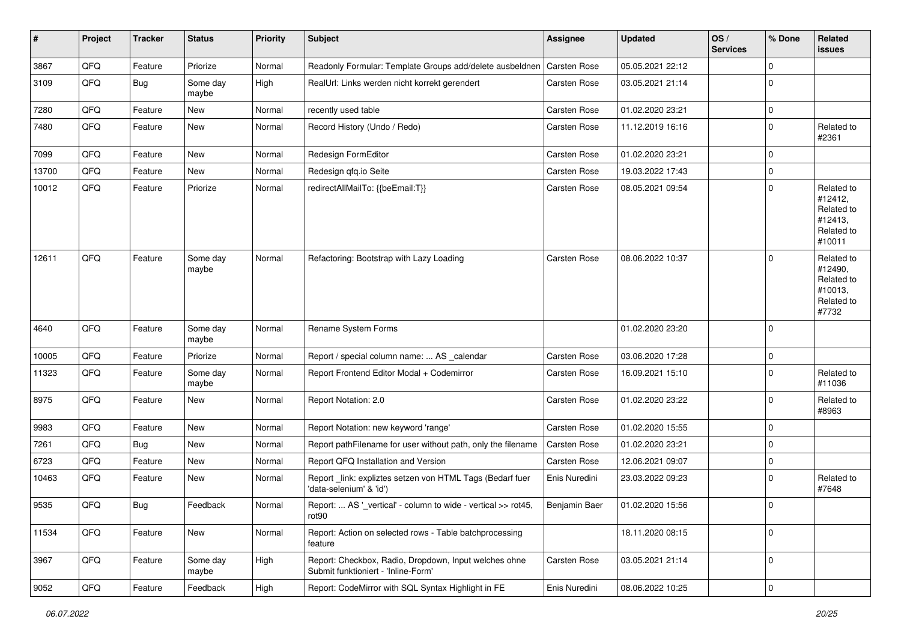| #     | Project | <b>Tracker</b> | <b>Status</b>     | <b>Priority</b> | <b>Subject</b>                                                                               | <b>Assignee</b>     | <b>Updated</b>   | OS/<br><b>Services</b> | % Done      | Related<br>issues                                                      |
|-------|---------|----------------|-------------------|-----------------|----------------------------------------------------------------------------------------------|---------------------|------------------|------------------------|-------------|------------------------------------------------------------------------|
| 3867  | QFQ     | Feature        | Priorize          | Normal          | Readonly Formular: Template Groups add/delete ausbeldnen                                     | <b>Carsten Rose</b> | 05.05.2021 22:12 |                        | 0           |                                                                        |
| 3109  | QFQ     | Bug            | Some day<br>maybe | High            | RealUrl: Links werden nicht korrekt gerendert                                                | <b>Carsten Rose</b> | 03.05.2021 21:14 |                        | 0           |                                                                        |
| 7280  | QFQ     | Feature        | New               | Normal          | recently used table                                                                          | <b>Carsten Rose</b> | 01.02.2020 23:21 |                        | 0           |                                                                        |
| 7480  | QFQ     | Feature        | New               | Normal          | Record History (Undo / Redo)                                                                 | Carsten Rose        | 11.12.2019 16:16 |                        | 0           | Related to<br>#2361                                                    |
| 7099  | QFQ     | Feature        | New               | Normal          | Redesign FormEditor                                                                          | <b>Carsten Rose</b> | 01.02.2020 23:21 |                        | $\mathbf 0$ |                                                                        |
| 13700 | QFQ     | Feature        | New               | Normal          | Redesign qfq.io Seite                                                                        | Carsten Rose        | 19.03.2022 17:43 |                        | 0           |                                                                        |
| 10012 | QFQ     | Feature        | Priorize          | Normal          | redirectAllMailTo: {{beEmail:T}}                                                             | <b>Carsten Rose</b> | 08.05.2021 09:54 |                        | 0           | Related to<br>#12412,<br>Related to<br>#12413,<br>Related to<br>#10011 |
| 12611 | QFQ     | Feature        | Some day<br>maybe | Normal          | Refactoring: Bootstrap with Lazy Loading                                                     | <b>Carsten Rose</b> | 08.06.2022 10:37 |                        | 0           | Related to<br>#12490,<br>Related to<br>#10013,<br>Related to<br>#7732  |
| 4640  | QFQ     | Feature        | Some day<br>maybe | Normal          | Rename System Forms                                                                          |                     | 01.02.2020 23:20 |                        | $\Omega$    |                                                                        |
| 10005 | QFQ     | Feature        | Priorize          | Normal          | Report / special column name:  AS _calendar                                                  | <b>Carsten Rose</b> | 03.06.2020 17:28 |                        | $\mathbf 0$ |                                                                        |
| 11323 | QFQ     | Feature        | Some day<br>maybe | Normal          | Report Frontend Editor Modal + Codemirror                                                    | Carsten Rose        | 16.09.2021 15:10 |                        | $\Omega$    | Related to<br>#11036                                                   |
| 8975  | QFQ     | Feature        | New               | Normal          | Report Notation: 2.0                                                                         | <b>Carsten Rose</b> | 01.02.2020 23:22 |                        | 0           | Related to<br>#8963                                                    |
| 9983  | QFQ     | Feature        | New               | Normal          | Report Notation: new keyword 'range'                                                         | <b>Carsten Rose</b> | 01.02.2020 15:55 |                        | 0           |                                                                        |
| 7261  | QFQ     | Bug            | New               | Normal          | Report pathFilename for user without path, only the filename                                 | Carsten Rose        | 01.02.2020 23:21 |                        | 0           |                                                                        |
| 6723  | QFQ     | Feature        | New               | Normal          | Report QFQ Installation and Version                                                          | <b>Carsten Rose</b> | 12.06.2021 09:07 |                        | 0           |                                                                        |
| 10463 | QFQ     | Feature        | New               | Normal          | Report_link: expliztes setzen von HTML Tags (Bedarf fuer<br>'data-selenium' & 'id')          | Enis Nuredini       | 23.03.2022 09:23 |                        | $\Omega$    | Related to<br>#7648                                                    |
| 9535  | QFQ     | Bug            | Feedback          | Normal          | Report:  AS '_vertical' - column to wide - vertical >> rot45,<br>rot90                       | Benjamin Baer       | 01.02.2020 15:56 |                        | $\Omega$    |                                                                        |
| 11534 | QFQ     | Feature        | New               | Normal          | Report: Action on selected rows - Table batchprocessing<br>feature                           |                     | 18.11.2020 08:15 |                        | $\mathbf 0$ |                                                                        |
| 3967  | QFQ     | Feature        | Some day<br>maybe | High            | Report: Checkbox, Radio, Dropdown, Input welches ohne<br>Submit funktioniert - 'Inline-Form' | <b>Carsten Rose</b> | 03.05.2021 21:14 |                        | 0           |                                                                        |
| 9052  | QFQ     | Feature        | Feedback          | High            | Report: CodeMirror with SQL Syntax Highlight in FE                                           | Enis Nuredini       | 08.06.2022 10:25 |                        | 0           |                                                                        |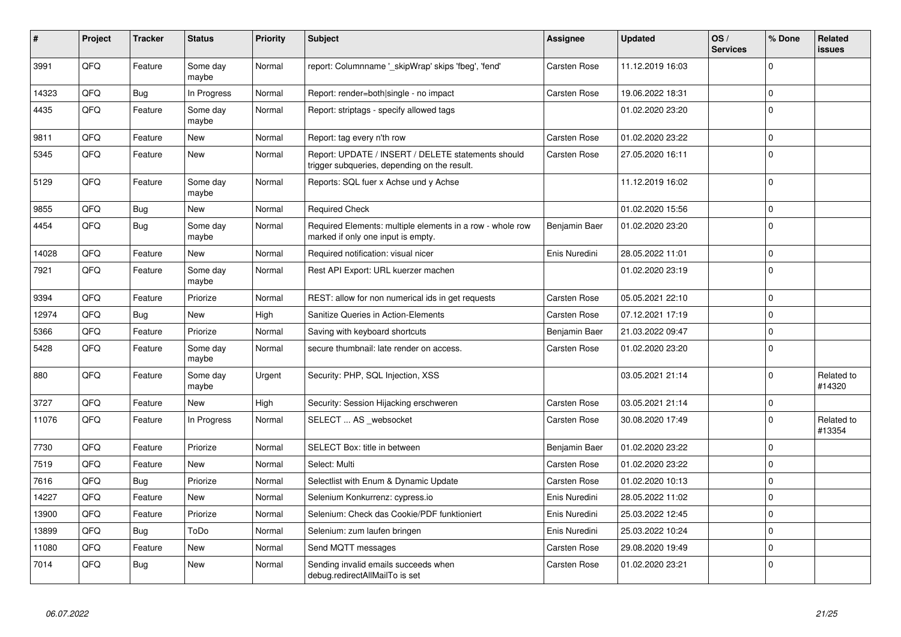| #     | Project | <b>Tracker</b> | <b>Status</b>     | <b>Priority</b> | <b>Subject</b>                                                                                     | <b>Assignee</b>     | <b>Updated</b>   | OS/<br><b>Services</b> | % Done         | Related<br><b>issues</b> |
|-------|---------|----------------|-------------------|-----------------|----------------------------------------------------------------------------------------------------|---------------------|------------------|------------------------|----------------|--------------------------|
| 3991  | QFQ     | Feature        | Some day<br>maybe | Normal          | report: Columnname '_skipWrap' skips 'fbeg', 'fend'                                                | <b>Carsten Rose</b> | 11.12.2019 16:03 |                        | $\Omega$       |                          |
| 14323 | QFQ     | <b>Bug</b>     | In Progress       | Normal          | Report: render=both single - no impact                                                             | <b>Carsten Rose</b> | 19.06.2022 18:31 |                        | $\mathbf{0}$   |                          |
| 4435  | QFQ     | Feature        | Some day<br>maybe | Normal          | Report: striptags - specify allowed tags                                                           |                     | 01.02.2020 23:20 |                        | $\Omega$       |                          |
| 9811  | QFQ     | Feature        | <b>New</b>        | Normal          | Report: tag every n'th row                                                                         | <b>Carsten Rose</b> | 01.02.2020 23:22 |                        | $\Omega$       |                          |
| 5345  | QFQ     | Feature        | <b>New</b>        | Normal          | Report: UPDATE / INSERT / DELETE statements should<br>trigger subqueries, depending on the result. | Carsten Rose        | 27.05.2020 16:11 |                        | $\Omega$       |                          |
| 5129  | QFQ     | Feature        | Some day<br>maybe | Normal          | Reports: SQL fuer x Achse und y Achse                                                              |                     | 11.12.2019 16:02 |                        | $\Omega$       |                          |
| 9855  | QFQ     | <b>Bug</b>     | New               | Normal          | <b>Required Check</b>                                                                              |                     | 01.02.2020 15:56 |                        | $\mathbf{0}$   |                          |
| 4454  | QFQ     | Bug            | Some day<br>maybe | Normal          | Required Elements: multiple elements in a row - whole row<br>marked if only one input is empty.    | Benjamin Baer       | 01.02.2020 23:20 |                        | $\Omega$       |                          |
| 14028 | QFQ     | Feature        | New               | Normal          | Required notification: visual nicer                                                                | Enis Nuredini       | 28.05.2022 11:01 |                        | $\mathbf{0}$   |                          |
| 7921  | QFQ     | Feature        | Some day<br>maybe | Normal          | Rest API Export: URL kuerzer machen                                                                |                     | 01.02.2020 23:19 |                        | $\Omega$       |                          |
| 9394  | QFQ     | Feature        | Priorize          | Normal          | REST: allow for non numerical ids in get requests                                                  | <b>Carsten Rose</b> | 05.05.2021 22:10 |                        | $\Omega$       |                          |
| 12974 | QFQ     | Bug            | New               | High            | <b>Sanitize Queries in Action-Elements</b>                                                         | <b>Carsten Rose</b> | 07.12.2021 17:19 |                        | $\Omega$       |                          |
| 5366  | QFQ     | Feature        | Priorize          | Normal          | Saving with keyboard shortcuts                                                                     | Benjamin Baer       | 21.03.2022 09:47 |                        | $\Omega$       |                          |
| 5428  | QFQ     | Feature        | Some day<br>maybe | Normal          | secure thumbnail: late render on access.                                                           | <b>Carsten Rose</b> | 01.02.2020 23:20 |                        | $\Omega$       |                          |
| 880   | QFQ     | Feature        | Some day<br>maybe | Urgent          | Security: PHP, SQL Injection, XSS                                                                  |                     | 03.05.2021 21:14 |                        | $\Omega$       | Related to<br>#14320     |
| 3727  | QFQ     | Feature        | <b>New</b>        | High            | Security: Session Hijacking erschweren                                                             | <b>Carsten Rose</b> | 03.05.2021 21:14 |                        | $\mathbf 0$    |                          |
| 11076 | QFQ     | Feature        | In Progress       | Normal          | SELECT  AS _websocket                                                                              | <b>Carsten Rose</b> | 30.08.2020 17:49 |                        | $\Omega$       | Related to<br>#13354     |
| 7730  | QFQ     | Feature        | Priorize          | Normal          | <b>SELECT Box: title in between</b>                                                                | Benjamin Baer       | 01.02.2020 23:22 |                        | $\mathbf{0}$   |                          |
| 7519  | QFQ     | Feature        | <b>New</b>        | Normal          | Select: Multi                                                                                      | <b>Carsten Rose</b> | 01.02.2020 23:22 |                        | $\Omega$       |                          |
| 7616  | QFQ     | <b>Bug</b>     | Priorize          | Normal          | Selectlist with Enum & Dynamic Update                                                              | <b>Carsten Rose</b> | 01.02.2020 10:13 |                        | $\mathbf 0$    |                          |
| 14227 | QFQ     | Feature        | <b>New</b>        | Normal          | Selenium Konkurrenz: cypress.io                                                                    | Enis Nuredini       | 28.05.2022 11:02 |                        | $\overline{0}$ |                          |
| 13900 | QFQ     | Feature        | Priorize          | Normal          | Selenium: Check das Cookie/PDF funktioniert                                                        | Enis Nuredini       | 25.03.2022 12:45 |                        | $\mathbf 0$    |                          |
| 13899 | QFQ     | <b>Bug</b>     | ToDo              | Normal          | Selenium: zum laufen bringen                                                                       | Enis Nuredini       | 25.03.2022 10:24 |                        | $\Omega$       |                          |
| 11080 | QFQ     | Feature        | New               | Normal          | Send MQTT messages                                                                                 | <b>Carsten Rose</b> | 29.08.2020 19:49 |                        | $\mathbf{0}$   |                          |
| 7014  | QFQ     | Bug            | <b>New</b>        | Normal          | Sending invalid emails succeeds when<br>debug.redirectAllMailTo is set                             | <b>Carsten Rose</b> | 01.02.2020 23:21 |                        | $\Omega$       |                          |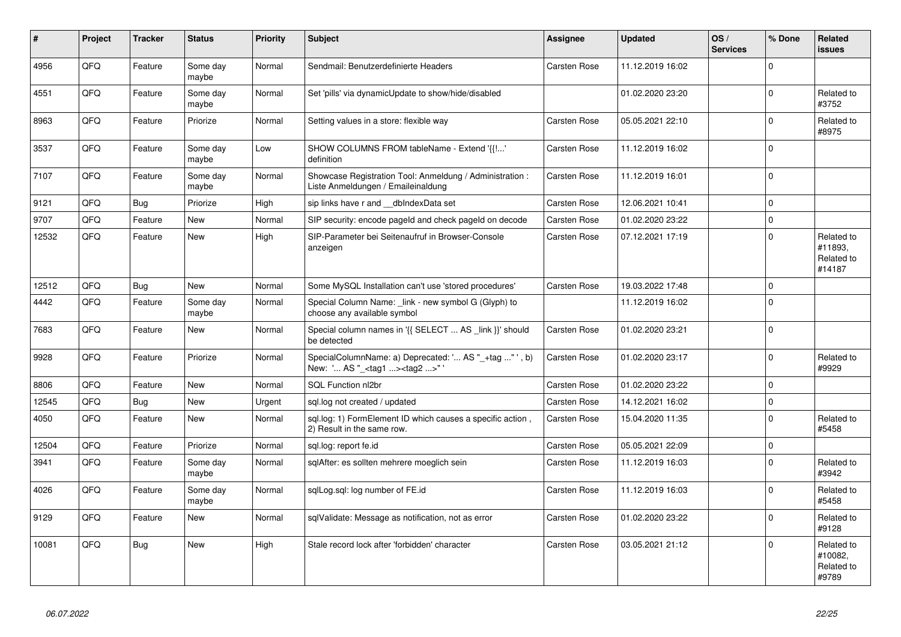| #     | Project    | <b>Tracker</b> | <b>Status</b>     | <b>Priority</b> | <b>Subject</b>                                                                                     | <b>Assignee</b>     | <b>Updated</b>   | OS/<br><b>Services</b> | % Done       | Related<br><b>issues</b>                      |
|-------|------------|----------------|-------------------|-----------------|----------------------------------------------------------------------------------------------------|---------------------|------------------|------------------------|--------------|-----------------------------------------------|
| 4956  | QFQ        | Feature        | Some day<br>maybe | Normal          | Sendmail: Benutzerdefinierte Headers                                                               | <b>Carsten Rose</b> | 11.12.2019 16:02 |                        | 0            |                                               |
| 4551  | QFQ        | Feature        | Some day<br>maybe | Normal          | Set 'pills' via dynamicUpdate to show/hide/disabled                                                |                     | 01.02.2020 23:20 |                        | 0            | Related to<br>#3752                           |
| 8963  | QFQ        | Feature        | Priorize          | Normal          | Setting values in a store: flexible way                                                            | Carsten Rose        | 05.05.2021 22:10 |                        | <sup>0</sup> | Related to<br>#8975                           |
| 3537  | QFQ        | Feature        | Some day<br>maybe | Low             | SHOW COLUMNS FROM tableName - Extend '{{!'<br>definition                                           | <b>Carsten Rose</b> | 11.12.2019 16:02 |                        | 0            |                                               |
| 7107  | QFQ        | Feature        | Some day<br>maybe | Normal          | Showcase Registration Tool: Anmeldung / Administration :<br>Liste Anmeldungen / Emaileinaldung     | <b>Carsten Rose</b> | 11.12.2019 16:01 |                        | $\Omega$     |                                               |
| 9121  | QFQ        | <b>Bug</b>     | Priorize          | High            | sip links have r and __dbIndexData set                                                             | Carsten Rose        | 12.06.2021 10:41 |                        | $\Omega$     |                                               |
| 9707  | QFQ        | Feature        | <b>New</b>        | Normal          | SIP security: encode pageld and check pageld on decode                                             | <b>Carsten Rose</b> | 01.02.2020 23:22 |                        | $\Omega$     |                                               |
| 12532 | QFQ        | Feature        | <b>New</b>        | High            | SIP-Parameter bei Seitenaufruf in Browser-Console<br>anzeigen                                      | <b>Carsten Rose</b> | 07.12.2021 17:19 |                        | $\Omega$     | Related to<br>#11893.<br>Related to<br>#14187 |
| 12512 | QFQ        | <b>Bug</b>     | <b>New</b>        | Normal          | Some MySQL Installation can't use 'stored procedures'                                              | <b>Carsten Rose</b> | 19.03.2022 17:48 |                        | $\Omega$     |                                               |
| 4442  | QFQ        | Feature        | Some day<br>maybe | Normal          | Special Column Name: link - new symbol G (Glyph) to<br>choose any available symbol                 |                     | 11.12.2019 16:02 |                        | 0            |                                               |
| 7683  | QFQ        | Feature        | <b>New</b>        | Normal          | Special column names in '{{ SELECT  AS _link }}' should<br>be detected                             | <b>Carsten Rose</b> | 01.02.2020 23:21 |                        | $\Omega$     |                                               |
| 9928  | <b>OFO</b> | Feature        | Priorize          | Normal          | SpecialColumnName: a) Deprecated: ' AS "_+tag " ', b)<br>New: ' AS "_ <tag1><tag2>"'</tag2></tag1> | <b>Carsten Rose</b> | 01.02.2020 23:17 |                        | $\Omega$     | Related to<br>#9929                           |
| 8806  | QFQ        | Feature        | <b>New</b>        | Normal          | SQL Function nl2br                                                                                 | <b>Carsten Rose</b> | 01.02.2020 23:22 |                        | $\Omega$     |                                               |
| 12545 | QFQ        | <b>Bug</b>     | <b>New</b>        | Urgent          | sql.log not created / updated                                                                      | Carsten Rose        | 14.12.2021 16:02 |                        | $\Omega$     |                                               |
| 4050  | QFQ        | Feature        | <b>New</b>        | Normal          | sql.log: 1) FormElement ID which causes a specific action,<br>2) Result in the same row.           | <b>Carsten Rose</b> | 15.04.2020 11:35 |                        | 0            | Related to<br>#5458                           |
| 12504 | QFQ        | Feature        | Priorize          | Normal          | sql.log: report fe.id                                                                              | <b>Carsten Rose</b> | 05.05.2021 22:09 |                        | 0            |                                               |
| 3941  | QFQ        | Feature        | Some day<br>maybe | Normal          | sglAfter: es sollten mehrere moeglich sein                                                         | <b>Carsten Rose</b> | 11.12.2019 16:03 |                        | $\Omega$     | Related to<br>#3942                           |
| 4026  | QFQ        | Feature        | Some day<br>maybe | Normal          | sqlLog.sql: log number of FE.id                                                                    | <b>Carsten Rose</b> | 11.12.2019 16:03 |                        | $\Omega$     | Related to<br>#5458                           |
| 9129  | QFQ        | Feature        | New               | Normal          | sqlValidate: Message as notification, not as error                                                 | <b>Carsten Rose</b> | 01.02.2020 23:22 |                        | $\Omega$     | Related to<br>#9128                           |
| 10081 | QFQ        | Bug            | New               | High            | Stale record lock after 'forbidden' character                                                      | Carsten Rose        | 03.05.2021 21:12 |                        | $\Omega$     | Related to<br>#10082,<br>Related to<br>#9789  |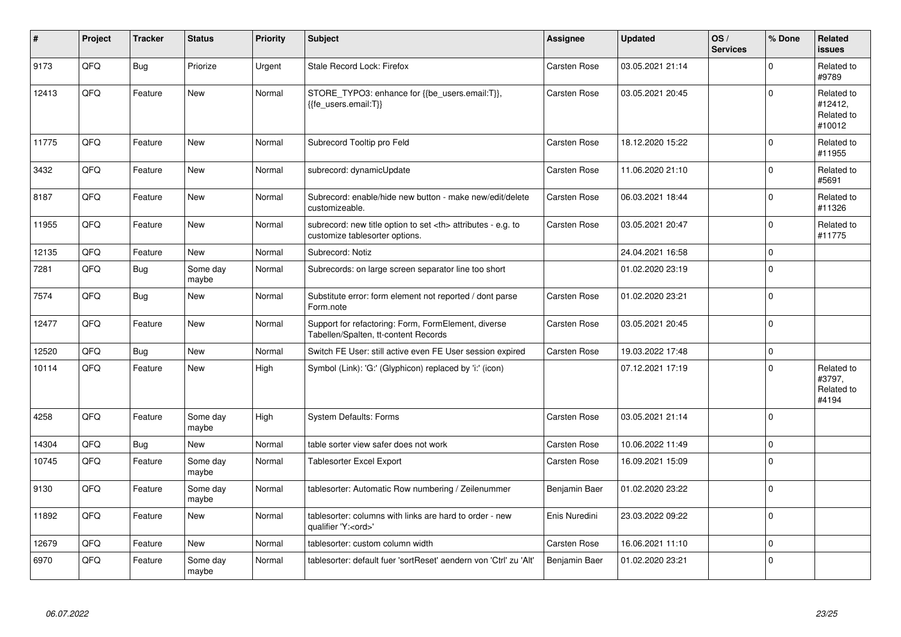| #     | Project | <b>Tracker</b> | <b>Status</b>     | <b>Priority</b> | <b>Subject</b>                                                                                       | Assignee                                               | <b>Updated</b>      | OS/<br><b>Services</b> | % Done         | Related<br><b>issues</b>                      |                      |
|-------|---------|----------------|-------------------|-----------------|------------------------------------------------------------------------------------------------------|--------------------------------------------------------|---------------------|------------------------|----------------|-----------------------------------------------|----------------------|
| 9173  | QFQ     | <b>Bug</b>     | Priorize          | Urgent          | Stale Record Lock: Firefox                                                                           | <b>Carsten Rose</b>                                    | 03.05.2021 21:14    |                        | $\Omega$       | Related to<br>#9789                           |                      |
| 12413 | QFQ     | Feature        | <b>New</b>        | Normal          | STORE_TYPO3: enhance for {{be_users.email:T}},<br>{{fe users.email:T}}                               | <b>Carsten Rose</b>                                    | 03.05.2021 20:45    |                        | $\Omega$       | Related to<br>#12412,<br>Related to<br>#10012 |                      |
| 11775 | QFQ     | Feature        | <b>New</b>        | Normal          | Subrecord Tooltip pro Feld                                                                           | <b>Carsten Rose</b>                                    | 18.12.2020 15:22    |                        | $\Omega$       | Related to<br>#11955                          |                      |
| 3432  | QFQ     | Feature        | <b>New</b>        | Normal          | subrecord: dynamicUpdate                                                                             | Carsten Rose                                           | 11.06.2020 21:10    |                        | $\mathbf{0}$   | Related to<br>#5691                           |                      |
| 8187  | QFQ     | Feature        | <b>New</b>        | Normal          | Subrecord: enable/hide new button - make new/edit/delete<br>customizeable.                           | Carsten Rose                                           | 06.03.2021 18:44    |                        | $\Omega$       | Related to<br>#11326                          |                      |
| 11955 | QFQ     | Feature        | New               | Normal          | subrecord: new title option to set <th> attributes - e.g. to<br/>customize tablesorter options.</th> | attributes - e.g. to<br>customize tablesorter options. | <b>Carsten Rose</b> | 03.05.2021 20:47       |                | $\Omega$                                      | Related to<br>#11775 |
| 12135 | QFQ     | Feature        | <b>New</b>        | Normal          | Subrecord: Notiz                                                                                     |                                                        | 24.04.2021 16:58    |                        | $\mathbf{0}$   |                                               |                      |
| 7281  | QFQ     | <b>Bug</b>     | Some day<br>maybe | Normal          | Subrecords: on large screen separator line too short                                                 |                                                        | 01.02.2020 23:19    |                        | $\Omega$       |                                               |                      |
| 7574  | QFQ     | Bug            | <b>New</b>        | Normal          | Substitute error: form element not reported / dont parse<br>Form.note                                | <b>Carsten Rose</b>                                    | 01.02.2020 23:21    |                        | $\Omega$       |                                               |                      |
| 12477 | QFQ     | Feature        | <b>New</b>        | Normal          | Support for refactoring: Form, FormElement, diverse<br>Tabellen/Spalten, tt-content Records          | <b>Carsten Rose</b>                                    | 03.05.2021 20:45    |                        | $\overline{0}$ |                                               |                      |
| 12520 | QFQ     | Bug            | <b>New</b>        | Normal          | Switch FE User: still active even FE User session expired                                            | <b>Carsten Rose</b>                                    | 19.03.2022 17:48    |                        | $\Omega$       |                                               |                      |
| 10114 | QFQ     | Feature        | <b>New</b>        | High            | Symbol (Link): 'G:' (Glyphicon) replaced by 'i:' (icon)                                              |                                                        | 07.12.2021 17:19    |                        | $\Omega$       | Related to<br>#3797,<br>Related to<br>#4194   |                      |
| 4258  | QFQ     | Feature        | Some day<br>maybe | High            | <b>System Defaults: Forms</b>                                                                        | <b>Carsten Rose</b>                                    | 03.05.2021 21:14    |                        | $\overline{0}$ |                                               |                      |
| 14304 | QFQ     | Bug            | New               | Normal          | table sorter view safer does not work                                                                | Carsten Rose                                           | 10.06.2022 11:49    |                        | $\mathbf{0}$   |                                               |                      |
| 10745 | QFQ     | Feature        | Some day<br>maybe | Normal          | Tablesorter Excel Export                                                                             | <b>Carsten Rose</b>                                    | 16.09.2021 15:09    |                        | $\Omega$       |                                               |                      |
| 9130  | QFQ     | Feature        | Some day<br>maybe | Normal          | tablesorter: Automatic Row numbering / Zeilenummer                                                   | Benjamin Baer                                          | 01.02.2020 23:22    |                        | $\Omega$       |                                               |                      |
| 11892 | QFQ     | Feature        | <b>New</b>        | Normal          | tablesorter: columns with links are hard to order - new<br>qualifier 'Y: <ord>'</ord>                | Enis Nuredini                                          | 23.03.2022 09:22    |                        | $\Omega$       |                                               |                      |
| 12679 | QFQ     | Feature        | <b>New</b>        | Normal          | tablesorter: custom column width                                                                     | Carsten Rose                                           | 16.06.2021 11:10    |                        | $\Omega$       |                                               |                      |
| 6970  | QFQ     | Feature        | Some day<br>maybe | Normal          | tablesorter: default fuer 'sortReset' aendern von 'Ctrl' zu 'Alt'                                    | Benjamin Baer                                          | 01.02.2020 23:21    |                        | $\mathbf{0}$   |                                               |                      |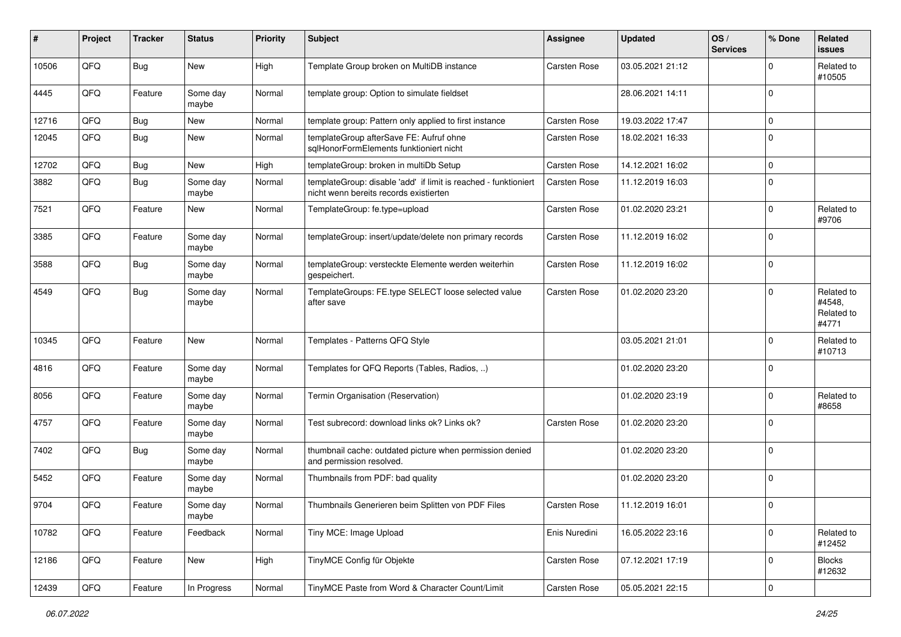| ∦     | Project | <b>Tracker</b> | <b>Status</b>     | <b>Priority</b> | <b>Subject</b>                                                                                            | <b>Assignee</b>     | <b>Updated</b>   | OS/<br><b>Services</b> | % Done       | Related<br><b>issues</b>                    |
|-------|---------|----------------|-------------------|-----------------|-----------------------------------------------------------------------------------------------------------|---------------------|------------------|------------------------|--------------|---------------------------------------------|
| 10506 | QFQ     | <b>Bug</b>     | New               | High            | Template Group broken on MultiDB instance                                                                 | Carsten Rose        | 03.05.2021 21:12 |                        | <sup>0</sup> | Related to<br>#10505                        |
| 4445  | QFQ     | Feature        | Some day<br>maybe | Normal          | template group: Option to simulate fieldset                                                               |                     | 28.06.2021 14:11 |                        | 0            |                                             |
| 12716 | QFQ     | <b>Bug</b>     | <b>New</b>        | Normal          | template group: Pattern only applied to first instance                                                    | <b>Carsten Rose</b> | 19.03.2022 17:47 |                        | 0            |                                             |
| 12045 | QFQ     | Bug            | <b>New</b>        | Normal          | templateGroup afterSave FE: Aufruf ohne<br>salHonorFormElements funktioniert nicht                        | <b>Carsten Rose</b> | 18.02.2021 16:33 |                        | $\Omega$     |                                             |
| 12702 | QFQ     | <b>Bug</b>     | New               | High            | templateGroup: broken in multiDb Setup                                                                    | <b>Carsten Rose</b> | 14.12.2021 16:02 |                        | $\Omega$     |                                             |
| 3882  | QFQ     | Bug            | Some day<br>maybe | Normal          | templateGroup: disable 'add' if limit is reached - funktioniert<br>nicht wenn bereits records existierten | <b>Carsten Rose</b> | 11.12.2019 16:03 |                        | 0            |                                             |
| 7521  | QFQ     | Feature        | New               | Normal          | TemplateGroup: fe.type=upload                                                                             | <b>Carsten Rose</b> | 01.02.2020 23:21 |                        | 0            | Related to<br>#9706                         |
| 3385  | QFQ     | Feature        | Some day<br>maybe | Normal          | templateGroup: insert/update/delete non primary records                                                   | <b>Carsten Rose</b> | 11.12.2019 16:02 |                        | 0            |                                             |
| 3588  | QFQ     | <b>Bug</b>     | Some day<br>maybe | Normal          | templateGroup: versteckte Elemente werden weiterhin<br>gespeichert.                                       | <b>Carsten Rose</b> | 11.12.2019 16:02 |                        | $\Omega$     |                                             |
| 4549  | QFQ     | Bug            | Some day<br>maybe | Normal          | TemplateGroups: FE.type SELECT loose selected value<br>after save                                         | <b>Carsten Rose</b> | 01.02.2020 23:20 |                        | 0            | Related to<br>#4548,<br>Related to<br>#4771 |
| 10345 | QFQ     | Feature        | New               | Normal          | Templates - Patterns QFQ Style                                                                            |                     | 03.05.2021 21:01 |                        | $\Omega$     | Related to<br>#10713                        |
| 4816  | QFQ     | Feature        | Some day<br>maybe | Normal          | Templates for QFQ Reports (Tables, Radios, )                                                              |                     | 01.02.2020 23:20 |                        | 0            |                                             |
| 8056  | QFQ     | Feature        | Some day<br>maybe | Normal          | Termin Organisation (Reservation)                                                                         |                     | 01.02.2020 23:19 |                        | $\Omega$     | Related to<br>#8658                         |
| 4757  | QFQ     | Feature        | Some day<br>maybe | Normal          | Test subrecord: download links ok? Links ok?                                                              | <b>Carsten Rose</b> | 01.02.2020 23:20 |                        | 0            |                                             |
| 7402  | QFQ     | <b>Bug</b>     | Some day<br>maybe | Normal          | thumbnail cache: outdated picture when permission denied<br>and permission resolved.                      |                     | 01.02.2020 23:20 |                        | $\mathbf 0$  |                                             |
| 5452  | QFQ     | Feature        | Some day<br>maybe | Normal          | Thumbnails from PDF: bad quality                                                                          |                     | 01.02.2020 23:20 |                        | 0            |                                             |
| 9704  | QFQ     | Feature        | Some day<br>maybe | Normal          | Thumbnails Generieren beim Splitten von PDF Files                                                         | <b>Carsten Rose</b> | 11.12.2019 16:01 |                        | $\Omega$     |                                             |
| 10782 | QFG     | Feature        | Feedback          | Normal          | Tiny MCE: Image Upload                                                                                    | Enis Nuredini       | 16.05.2022 23:16 |                        | $\mathbf 0$  | Related to<br>#12452                        |
| 12186 | QFO     | Feature        | New               | High            | TinyMCE Config für Objekte                                                                                | Carsten Rose        | 07.12.2021 17:19 |                        | 0            | <b>Blocks</b><br>#12632                     |
| 12439 | QFQ     | Feature        | In Progress       | Normal          | TinyMCE Paste from Word & Character Count/Limit                                                           | Carsten Rose        | 05.05.2021 22:15 |                        | 0            |                                             |